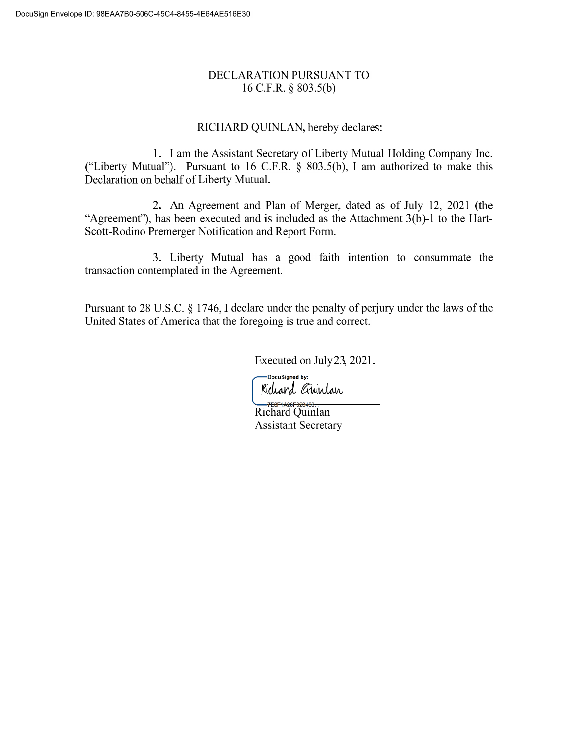# DECLARATION PURSUANT TO 16 C.F.R. § 803.5(b)

# RICHARD QUINLAN, hereby declares:

1. I am the Assistant Secretary of Liberty Mutual Holding Company Inc. ("Liberty Mutual"). Pursuant to 16 C.F.R. § 803.5(b), I am authorized to make this Declaration on behalf of Liberty Mutual.

2. An Agreement and Plan of Merger, dated as of July 12, 2021 (the "Agreement"), has been executed and is included as the Attachment 3(b)-1 to the Hart-Scott-Rodino Premerger Notification and Report Form.

3. Liberty Mutual has a good faith intention to consummate the transaction contemplated in the Agreement.

Pursuant to 28 U.S.C. § 1746, I declare under the penalty of perjury under the laws of the United States of America that the foregoing is true and correct.

Executed on July23, 2021.

-DocuSigned by: Kichard Guinlan

<del>— 758F1A28F623480...<br>Richard Quinlan</del> Assistant Secretary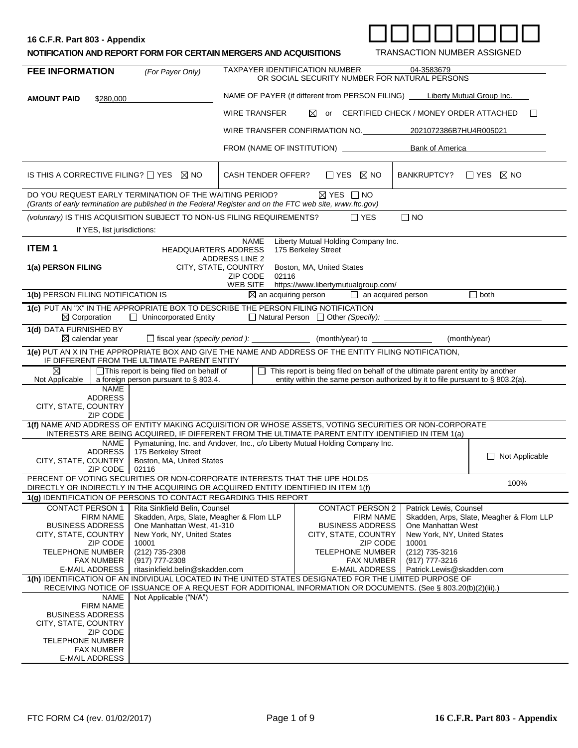|  |  |  |  |  |  | 6 C.F.R. Part 803 - Appendix |  |
|--|--|--|--|--|--|------------------------------|--|
|--|--|--|--|--|--|------------------------------|--|

| 16 C.F.R. Part 803 - Appendix                                     |                  |                                       |                                    |  |
|-------------------------------------------------------------------|------------------|---------------------------------------|------------------------------------|--|
| NOTIFICATION AND REPORT FORM FOR CERTAIN MERGERS AND ACQUISITIONS |                  |                                       | <b>TRANSACTION NUMBER ASSIGNED</b> |  |
| <b>FEE INFORMATION</b>                                            | (For Paver Only) | <b>TAXPAYER IDENTIFICATION NUMBER</b> | 04-3583679                         |  |

| <b>FEE INFORMATION</b><br>(For Payer Only)          |                                                                                                                                                                                                                                                                 | TAXPAYER IDENTIFICATION NUMBER                                                                                                                                                                               |                                                                                 |                                                            | 04-3583679<br>OR SOCIAL SECURITY NUMBER FOR NATURAL PERSONS |                                           |                                          |
|-----------------------------------------------------|-----------------------------------------------------------------------------------------------------------------------------------------------------------------------------------------------------------------------------------------------------------------|--------------------------------------------------------------------------------------------------------------------------------------------------------------------------------------------------------------|---------------------------------------------------------------------------------|------------------------------------------------------------|-------------------------------------------------------------|-------------------------------------------|------------------------------------------|
| <b>AMOUNT PAID</b>                                  | \$280,000                                                                                                                                                                                                                                                       |                                                                                                                                                                                                              | NAME OF PAYER (if different from PERSON FILING) _____ Liberty Mutual Group Inc. |                                                            |                                                             |                                           |                                          |
|                                                     |                                                                                                                                                                                                                                                                 |                                                                                                                                                                                                              | <b>WIRE TRANSFER</b>                                                            | $\bowtie$                                                  |                                                             | or CERTIFIED CHECK / MONEY ORDER ATTACHED | $\Box$                                   |
|                                                     |                                                                                                                                                                                                                                                                 |                                                                                                                                                                                                              | WIRE TRANSFER CONFIRMATION NO. 2021072386B7HU4R005021                           |                                                            |                                                             |                                           |                                          |
|                                                     |                                                                                                                                                                                                                                                                 |                                                                                                                                                                                                              | FROM (NAME OF INSTITUTION)                                                      |                                                            |                                                             | Bank of America                           |                                          |
|                                                     |                                                                                                                                                                                                                                                                 | IS THIS A CORRECTIVE FILING? $\Box$ YES $\boxtimes$ NO                                                                                                                                                       | <b>CASH TENDER OFFER?</b>                                                       | $\Box$ YES $\boxtimes$ NO                                  |                                                             | BANKRUPTCY? □ YES ⊠ NO                    |                                          |
|                                                     |                                                                                                                                                                                                                                                                 | DO YOU REQUEST EARLY TERMINATION OF THE WAITING PERIOD?<br>(Grants of early termination are published in the Federal Register and on the FTC web site, www.ftc.gov)                                          |                                                                                 | $\boxtimes$ YES $\Box$ NO                                  |                                                             |                                           |                                          |
|                                                     |                                                                                                                                                                                                                                                                 | (voluntary) IS THIS ACQUISITION SUBJECT TO NON-US FILING REQUIREMENTS?                                                                                                                                       |                                                                                 |                                                            | $\Box$ YES                                                  | $\Box$ NO                                 |                                          |
|                                                     | If YES, list jurisdictions:                                                                                                                                                                                                                                     |                                                                                                                                                                                                              |                                                                                 |                                                            |                                                             |                                           |                                          |
| <b>ITEM1</b>                                        |                                                                                                                                                                                                                                                                 | <b>HEADQUARTERS ADDRESS</b>                                                                                                                                                                                  | <b>NAME</b><br><b>ADDRESS LINE 2</b>                                            | Liberty Mutual Holding Company Inc.<br>175 Berkeley Street |                                                             |                                           |                                          |
| 1(a) PERSON FILING                                  |                                                                                                                                                                                                                                                                 |                                                                                                                                                                                                              | CITY, STATE, COUNTRY                                                            | Boston, MA, United States                                  |                                                             |                                           |                                          |
|                                                     |                                                                                                                                                                                                                                                                 |                                                                                                                                                                                                              | ZIP CODE<br>02116<br>WEB SITE                                                   | https://www.libertymutualgroup.com/                        |                                                             |                                           |                                          |
| 1(b) PERSON FILING NOTIFICATION IS                  |                                                                                                                                                                                                                                                                 |                                                                                                                                                                                                              | $\boxtimes$ an acquiring person                                                 |                                                            | $\Box$ an acquired person                                   |                                           | $\Box$ both                              |
| $\boxtimes$ Corporation                             |                                                                                                                                                                                                                                                                 | 1(c) PUT AN "X" IN THE APPROPRIATE BOX TO DESCRIBE THE PERSON FILING NOTIFICATION<br>$\Box$ Unincorporated Entity                                                                                            | □ Natural Person □ Other (Specify):                                             |                                                            |                                                             |                                           |                                          |
| 1(d) DATA FURNISHED BY<br>$\boxtimes$ calendar year |                                                                                                                                                                                                                                                                 |                                                                                                                                                                                                              | □ fiscal year (specify period): _____________ (month/year) to ____________      |                                                            |                                                             | (month/year)                              |                                          |
|                                                     |                                                                                                                                                                                                                                                                 | 1(e) PUT AN X IN THE APPROPRIATE BOX AND GIVE THE NAME AND ADDRESS OF THE ENTITY FILING NOTIFICATION,<br>IF DIFFERENT FROM THE ULTIMATE PARENT ENTITY                                                        |                                                                                 |                                                            |                                                             |                                           |                                          |
| ⊠<br>Not Applicable                                 | □ This report is being filed on behalf of<br>$\Box$ This report is being filed on behalf of the ultimate parent entity by another<br>a foreign person pursuant to $\S$ 803.4.<br>entity within the same person authorized by it to file pursuant to § 803.2(a). |                                                                                                                                                                                                              |                                                                                 |                                                            |                                                             |                                           |                                          |
|                                                     | <b>NAME</b>                                                                                                                                                                                                                                                     |                                                                                                                                                                                                              |                                                                                 |                                                            |                                                             |                                           |                                          |
| CITY, STATE, COUNTRY                                | <b>ADDRESS</b><br>ZIP CODE                                                                                                                                                                                                                                      |                                                                                                                                                                                                              |                                                                                 |                                                            |                                                             |                                           |                                          |
|                                                     |                                                                                                                                                                                                                                                                 | 1(f) NAME AND ADDRESS OF ENTITY MAKING ACQUISITION OR WHOSE ASSETS, VOTING SECURITIES OR NON-CORPORATE<br>INTERESTS ARE BEING ACQUIRED, IF DIFFERENT FROM THE ULTIMATE PARENT ENTITY IDENTIFIED IN ITEM 1(a) |                                                                                 |                                                            |                                                             |                                           |                                          |
|                                                     | NAME<br>ADDRESS                                                                                                                                                                                                                                                 | Pymatuning, Inc. and Andover, Inc., c/o Liberty Mutual Holding Company Inc.<br>175 Berkeley Street                                                                                                           |                                                                                 |                                                            |                                                             |                                           |                                          |
| CITY, STATE, COUNTRY                                | ZIP CODE                                                                                                                                                                                                                                                        | Boston, MA, United States<br>02116                                                                                                                                                                           |                                                                                 |                                                            |                                                             |                                           | $\Box$ Not Applicable                    |
|                                                     |                                                                                                                                                                                                                                                                 | PERCENT OF VOTING SECURITIES OR NON-CORPORATE INTERESTS THAT THE UPE HOLDS<br>DIRECTLY OR INDIRECTLY IN THE ACQUIRING OR ACQUIRED ENTITY IDENTIFIED IN ITEM 1(f)                                             |                                                                                 |                                                            |                                                             |                                           | 100%                                     |
|                                                     |                                                                                                                                                                                                                                                                 | 1(g) IDENTIFICATION OF PERSONS TO CONTACT REGARDING THIS REPORT                                                                                                                                              |                                                                                 |                                                            |                                                             |                                           |                                          |
| <b>CONTACT PERSON 1</b>                             |                                                                                                                                                                                                                                                                 | Rita Sinkfield Belin, Counsel                                                                                                                                                                                |                                                                                 |                                                            | <b>CONTACT PERSON 2</b>                                     | Patrick Lewis, Counsel                    |                                          |
| <b>BUSINESS ADDRESS</b>                             | <b>FIRM NAME</b>                                                                                                                                                                                                                                                | Skadden, Arps, Slate, Meagher & Flom LLP<br>One Manhattan West, 41-310                                                                                                                                       |                                                                                 |                                                            | <b>FIRM NAME</b><br><b>BUSINESS ADDRESS</b>                 | One Manhattan West                        | Skadden, Arps, Slate, Meagher & Flom LLP |
| CITY, STATE, COUNTRY                                |                                                                                                                                                                                                                                                                 | New York, NY, United States                                                                                                                                                                                  |                                                                                 | CITY, STATE, COUNTRY                                       |                                                             | New York, NY, United States               |                                          |
| TELEPHONE NUMBER                                    | <b>ZIP CODE</b>                                                                                                                                                                                                                                                 | 10001<br>(212) 735-2308                                                                                                                                                                                      |                                                                                 | ZIP CODE<br>10001<br><b>TELEPHONE NUMBER</b>               |                                                             | (212) 735-3216                            |                                          |
|                                                     | <b>FAX NUMBER</b>                                                                                                                                                                                                                                               | (917) 777-2308                                                                                                                                                                                               |                                                                                 |                                                            | <b>FAX NUMBER</b>                                           | (917) 777-3216                            |                                          |
| E-MAIL ADDRESS                                      |                                                                                                                                                                                                                                                                 | ritasinkfield.belin@skadden.com<br>1(h) IDENTIFICATION OF AN INDIVIDUAL LOCATED IN THE UNITED STATES DESIGNATED FOR THE LIMITED PURPOSE OF                                                                   |                                                                                 |                                                            | E-MAIL ADDRESS                                              | Patrick.Lewis@skadden.com                 |                                          |
|                                                     |                                                                                                                                                                                                                                                                 | RECEIVING NOTICE OF ISSUANCE OF A REQUEST FOR ADDITIONAL INFORMATION OR DOCUMENTS. (See § 803.20(b)(2)(iii).)                                                                                                |                                                                                 |                                                            |                                                             |                                           |                                          |
|                                                     | NAME<br><b>FIRM NAME</b>                                                                                                                                                                                                                                        | Not Applicable ("N/A")                                                                                                                                                                                       |                                                                                 |                                                            |                                                             |                                           |                                          |
| <b>BUSINESS ADDRESS</b>                             |                                                                                                                                                                                                                                                                 |                                                                                                                                                                                                              |                                                                                 |                                                            |                                                             |                                           |                                          |
| CITY, STATE, COUNTRY                                |                                                                                                                                                                                                                                                                 |                                                                                                                                                                                                              |                                                                                 |                                                            |                                                             |                                           |                                          |
| <b>TELEPHONE NUMBER</b>                             | <b>ZIP CODE</b>                                                                                                                                                                                                                                                 |                                                                                                                                                                                                              |                                                                                 |                                                            |                                                             |                                           |                                          |
|                                                     | <b>FAX NUMBER</b>                                                                                                                                                                                                                                               |                                                                                                                                                                                                              |                                                                                 |                                                            |                                                             |                                           |                                          |
| E-MAIL ADDRESS                                      |                                                                                                                                                                                                                                                                 |                                                                                                                                                                                                              |                                                                                 |                                                            |                                                             |                                           |                                          |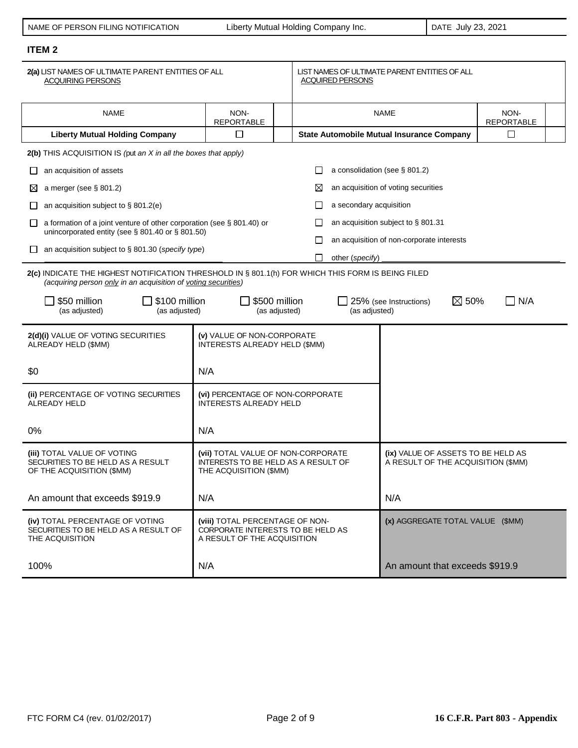| NAME OF PERSON FILING NOTIFICATION |
|------------------------------------|
|                                    |

Liberty Mutual Holding Company Inc. **DATE July 23, 2021** 

# **ITEM 2**

| 2(a) LIST NAMES OF ULTIMATE PARENT ENTITIES OF ALL<br><b>ACQUIRING PERSONS</b>                                                                                                                       |                                                                   |  | <b>ACQUIRED PERSONS</b>                                                  | LIST NAMES OF ULTIMATE PARENT ENTITIES OF ALL    |        |  |  |
|------------------------------------------------------------------------------------------------------------------------------------------------------------------------------------------------------|-------------------------------------------------------------------|--|--------------------------------------------------------------------------|--------------------------------------------------|--------|--|--|
| <b>NAME</b>                                                                                                                                                                                          | NON-<br><b>REPORTABLE</b>                                         |  |                                                                          | <b>NAME</b><br>NON-<br><b>REPORTABLE</b>         |        |  |  |
| <b>Liberty Mutual Holding Company</b>                                                                                                                                                                | □                                                                 |  |                                                                          | <b>State Automobile Mutual Insurance Company</b> | $\Box$ |  |  |
| 2(b) THIS ACQUISITION IS (put an X in all the boxes that apply)                                                                                                                                      |                                                                   |  |                                                                          |                                                  |        |  |  |
| an acquisition of assets<br>ப                                                                                                                                                                        |                                                                   |  | $\perp$                                                                  | a consolidation (see § 801.2)                    |        |  |  |
| a merger (see $\S$ 801.2)<br>⊠                                                                                                                                                                       |                                                                   |  | ⊠                                                                        | an acquisition of voting securities              |        |  |  |
| an acquisition subject to $\S$ 801.2(e)<br>⊔                                                                                                                                                         |                                                                   |  | a secondary acquisition                                                  |                                                  |        |  |  |
| a formation of a joint venture of other corporation (see $\S$ 801.40) or<br>ΙI                                                                                                                       |                                                                   |  |                                                                          | an acquisition subject to § 801.31               |        |  |  |
| unincorporated entity (see § 801.40 or § 801.50)                                                                                                                                                     |                                                                   |  | $\Box$                                                                   | an acquisition of non-corporate interests        |        |  |  |
| an acquisition subject to § 801.30 (specify type)<br>⊔                                                                                                                                               |                                                                   |  | other (specify)<br>П                                                     |                                                  |        |  |  |
| 2(c) INDICATE THE HIGHEST NOTIFICATION THRESHOLD IN § 801.1(h) FOR WHICH THIS FORM IS BEING FILED<br>(acquiring person only in an acquisition of voting securities)                                  |                                                                   |  |                                                                          |                                                  |        |  |  |
| \$50 million<br>\$100 million<br>\$500 million<br>$\boxtimes$ 50%<br>N/A<br>25% (see Instructions)<br>(as adjusted)<br>(as adjusted)<br>(as adjusted)<br>(as adjusted)                               |                                                                   |  |                                                                          |                                                  |        |  |  |
| 2(d)(i) VALUE OF VOTING SECURITIES<br>(v) VALUE OF NON-CORPORATE<br>ALREADY HELD (\$MM)<br>INTERESTS ALREADY HELD (\$MM)                                                                             |                                                                   |  |                                                                          |                                                  |        |  |  |
| \$0                                                                                                                                                                                                  | N/A                                                               |  |                                                                          |                                                  |        |  |  |
| (ii) PERCENTAGE OF VOTING SECURITIES<br>ALREADY HELD                                                                                                                                                 | (vi) PERCENTAGE OF NON-CORPORATE<br><b>INTERESTS ALREADY HELD</b> |  |                                                                          |                                                  |        |  |  |
| $0\%$                                                                                                                                                                                                | N/A                                                               |  |                                                                          |                                                  |        |  |  |
| (iii) TOTAL VALUE OF VOTING<br>(vii) TOTAL VALUE OF NON-CORPORATE<br>SECURITIES TO BE HELD AS A RESULT<br>INTERESTS TO BE HELD AS A RESULT OF<br>OF THE ACQUISITION (\$MM)<br>THE ACQUISITION (\$MM) |                                                                   |  | (ix) VALUE OF ASSETS TO BE HELD AS<br>A RESULT OF THE ACQUISITION (\$MM) |                                                  |        |  |  |
| An amount that exceeds \$919.9<br>N/A                                                                                                                                                                |                                                                   |  | N/A                                                                      |                                                  |        |  |  |
| (iv) TOTAL PERCENTAGE OF VOTING<br>(viii) TOTAL PERCENTAGE OF NON-<br>SECURITIES TO BE HELD AS A RESULT OF<br>THE ACQUISITION<br>A RESULT OF THE ACQUISITION                                         |                                                                   |  | (x) AGGREGATE TOTAL VALUE (\$MM)<br>CORPORATE INTERESTS TO BE HELD AS    |                                                  |        |  |  |
| 100%                                                                                                                                                                                                 | N/A                                                               |  |                                                                          | An amount that exceeds \$919.9                   |        |  |  |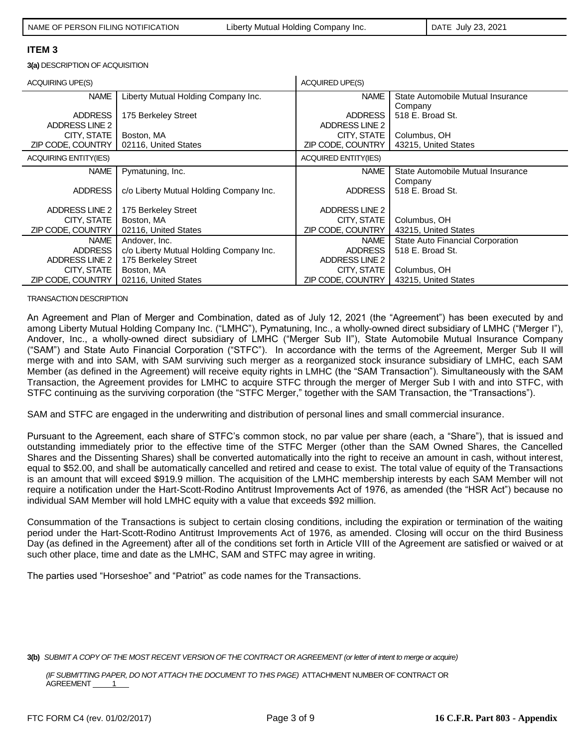**3(a)** DESCRIPTION OF ACQUISITION

| <b>ACQUIRING UPE(S)</b>      |                                         | <b>ACQUIRED UPE(S)</b>      |                                      |  |
|------------------------------|-----------------------------------------|-----------------------------|--------------------------------------|--|
| <b>NAME</b>                  | Liberty Mutual Holding Company Inc.     | <b>NAME</b>                 | State Automobile Mutual Insurance    |  |
|                              |                                         |                             | Company                              |  |
| <b>ADDRESS</b>               | 175 Berkeley Street                     | <b>ADDRESS</b>              | 518 E. Broad St.                     |  |
| ADDRESS LINE 2               |                                         | ADDRESS LINE 2              |                                      |  |
| CITY, STATE                  | Boston, MA                              | CITY, STATE                 | Columbus, OH<br>43215, United States |  |
| ZIP CODE, COUNTRY            | 02116, United States                    | ZIP CODE, COUNTRY           |                                      |  |
| <b>ACQUIRING ENTITY(IES)</b> |                                         | <b>ACQUIRED ENTITY(IES)</b> |                                      |  |
| <b>NAME</b>                  | Pymatuning, Inc.                        | <b>NAME</b>                 | State Automobile Mutual Insurance    |  |
|                              |                                         |                             | Company                              |  |
| <b>ADDRESS</b>               | c/o Liberty Mutual Holding Company Inc. | <b>ADDRESS</b>              | 518 E. Broad St.                     |  |
| ADDRESS LINE 2               |                                         | ADDRESS LINE 2              |                                      |  |
|                              | 175 Berkeley Street                     |                             |                                      |  |
| CITY, STATE                  | Boston, MA                              | CITY, STATE                 | Columbus, OH                         |  |
| ZIP CODE, COUNTRY            | 02116, United States                    | ZIP CODE, COUNTRY           | 43215, United States                 |  |
| <b>NAME</b>                  | Andover, Inc.                           | <b>NAME</b>                 | State Auto Financial Corporation     |  |
| <b>ADDRESS</b>               | c/o Liberty Mutual Holding Company Inc. | <b>ADDRESS</b>              | 518 E. Broad St.                     |  |
| ADDRESS LINE 2               | 175 Berkeley Street                     | ADDRESS LINE 2              |                                      |  |
| CITY, STATE                  | Boston, MA                              | CITY, STATE                 | Columbus, OH                         |  |
| ZIP CODE, COUNTRY            | 02116, United States                    | ZIP CODE, COUNTRY           | 43215, United States                 |  |

#### TRANSACTION DESCRIPTION

An Agreement and Plan of Merger and Combination, dated as of July 12, 2021 (the "Agreement") has been executed by and among Liberty Mutual Holding Company Inc. ("LMHC"), Pymatuning, Inc., a wholly-owned direct subsidiary of LMHC ("Merger I"), Andover, Inc., a wholly-owned direct subsidiary of LMHC ("Merger Sub II"), State Automobile Mutual Insurance Company ("SAM") and State Auto Financial Corporation ("STFC"). In accordance with the terms of the Agreement, Merger Sub II will merge with and into SAM, with SAM surviving such merger as a reorganized stock insurance subsidiary of LMHC, each SAM Member (as defined in the Agreement) will receive equity rights in LMHC (the "SAM Transaction"). Simultaneously with the SAM Transaction, the Agreement provides for LMHC to acquire STFC through the merger of Merger Sub I with and into STFC, with STFC continuing as the surviving corporation (the "STFC Merger," together with the SAM Transaction, the "Transactions").

SAM and STFC are engaged in the underwriting and distribution of personal lines and small commercial insurance.

Pursuant to the Agreement, each share of STFC's common stock, no par value per share (each, a "Share"), that is issued and outstanding immediately prior to the effective time of the STFC Merger (other than the SAM Owned Shares, the Cancelled Shares and the Dissenting Shares) shall be converted automatically into the right to receive an amount in cash, without interest, equal to \$52.00, and shall be automatically cancelled and retired and cease to exist. The total value of equity of the Transactions is an amount that will exceed \$919.9 million. The acquisition of the LMHC membership interests by each SAM Member will not require a notification under the Hart-Scott-Rodino Antitrust Improvements Act of 1976, as amended (the "HSR Act") because no individual SAM Member will hold LMHC equity with a value that exceeds \$92 million.

Consummation of the Transactions is subject to certain closing conditions, including the expiration or termination of the waiting period under the Hart-Scott-Rodino Antitrust Improvements Act of 1976, as amended. Closing will occur on the third Business Day (as defined in the Agreement) after all of the conditions set forth in Article VIII of the Agreement are satisfied or waived or at such other place, time and date as the LMHC, SAM and STFC may agree in writing.

The parties used "Horseshoe" and "Patriot" as code names for the Transactions.

**3(b)** *SUBMIT A COPY OF THE MOST RECENT VERSION OF THE CONTRACT OR AGREEMENT (or letter of intent to merge or acquire)*

*(IF SUBMITTING PAPER, DO NOT ATTACH THE DOCUMENT TO THIS PAGE)* ATTACHMENT NUMBER OF CONTRACT OR AGREEMENT 1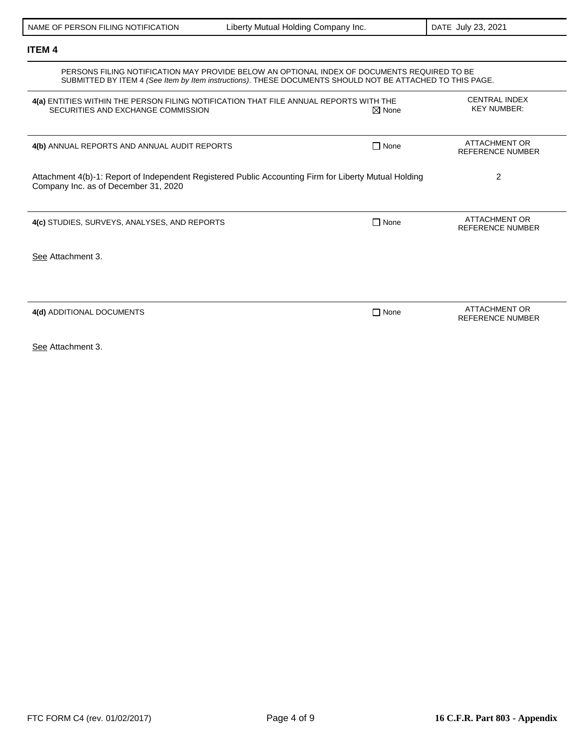| PERSONS FILING NOTIFICATION MAY PROVIDE BELOW AN OPTIONAL INDEX OF DOCUMENTS REQUIRED TO BE<br>SUBMITTED BY ITEM 4 (See Item by Item instructions). THESE DOCUMENTS SHOULD NOT BE ATTACHED TO THIS PAGE. |                  |                                                 |  |  |  |
|----------------------------------------------------------------------------------------------------------------------------------------------------------------------------------------------------------|------------------|-------------------------------------------------|--|--|--|
| 4(a) ENTITIES WITHIN THE PERSON FILING NOTIFICATION THAT FILE ANNUAL REPORTS WITH THE<br>SECURITIES AND EXCHANGE COMMISSION                                                                              | $\boxtimes$ None | <b>CENTRAL INDEX</b><br><b>KEY NUMBER:</b>      |  |  |  |
| 4(b) ANNUAL REPORTS AND ANNUAL AUDIT REPORTS                                                                                                                                                             | $\Box$ None      | <b>ATTACHMENT OR</b><br><b>REFERENCE NUMBER</b> |  |  |  |
| Attachment 4(b)-1: Report of Independent Registered Public Accounting Firm for Liberty Mutual Holding<br>Company Inc. as of December 31, 2020                                                            |                  | 2                                               |  |  |  |
| 4(c) STUDIES, SURVEYS, ANALYSES, AND REPORTS                                                                                                                                                             | $\Box$ None      | ATTACHMENT OR<br><b>REFERENCE NUMBER</b>        |  |  |  |
| See Attachment 3.                                                                                                                                                                                        |                  |                                                 |  |  |  |
|                                                                                                                                                                                                          |                  |                                                 |  |  |  |
| 4(d) ADDITIONAL DOCUMENTS                                                                                                                                                                                | $\Box$ None      | <b>ATTACHMENT OR</b><br><b>REFERENCE NUMBER</b> |  |  |  |
| See Attachment 3.                                                                                                                                                                                        |                  |                                                 |  |  |  |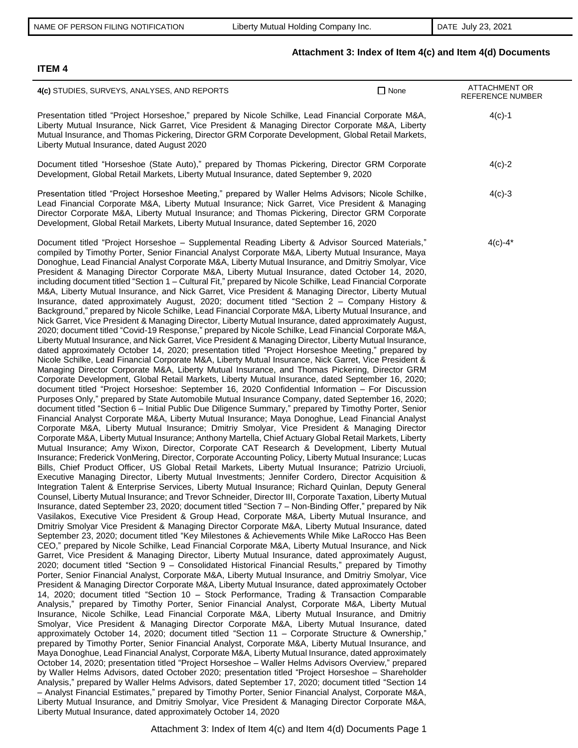# **Attachment 3: Index of Item 4(c) and Item 4(d) Documents**

| 4(c) STUDIES, SURVEYS, ANALYSES, AND REPORTS                                                                                                                                                                                                                                                                                                                                                                                                                                                                                                                                                                                                                                                                                                                                                                                                                                                                                                                                                                                                                                                                                                                                                                                                                                                                                                                                                                                                                                                                                                                                                                                                                                                                                                                                                                                                                                                                                                                                                                                                                                                                                                                                                                                                                                                                                                                                                                                                                                                                                                                                                                                                                                                                                                                                                                                                                                                                                                                                                                                                                                                                                                                                                                                                                                                                                                                                                                                                                                                                                                                                                                                                                                                                                                                                                                                                                                                                                                                                                                                                                                                                                                                                                                                                                                                                                                                                                                                                                                                                                                                                                                                                                                                                                                                                                                                                                                                                                                                                                                                                                                                                                                 | $\Box$ None | <b>ATTACHMENT OR</b><br><b>REFERENCE NUMBER</b> |
|----------------------------------------------------------------------------------------------------------------------------------------------------------------------------------------------------------------------------------------------------------------------------------------------------------------------------------------------------------------------------------------------------------------------------------------------------------------------------------------------------------------------------------------------------------------------------------------------------------------------------------------------------------------------------------------------------------------------------------------------------------------------------------------------------------------------------------------------------------------------------------------------------------------------------------------------------------------------------------------------------------------------------------------------------------------------------------------------------------------------------------------------------------------------------------------------------------------------------------------------------------------------------------------------------------------------------------------------------------------------------------------------------------------------------------------------------------------------------------------------------------------------------------------------------------------------------------------------------------------------------------------------------------------------------------------------------------------------------------------------------------------------------------------------------------------------------------------------------------------------------------------------------------------------------------------------------------------------------------------------------------------------------------------------------------------------------------------------------------------------------------------------------------------------------------------------------------------------------------------------------------------------------------------------------------------------------------------------------------------------------------------------------------------------------------------------------------------------------------------------------------------------------------------------------------------------------------------------------------------------------------------------------------------------------------------------------------------------------------------------------------------------------------------------------------------------------------------------------------------------------------------------------------------------------------------------------------------------------------------------------------------------------------------------------------------------------------------------------------------------------------------------------------------------------------------------------------------------------------------------------------------------------------------------------------------------------------------------------------------------------------------------------------------------------------------------------------------------------------------------------------------------------------------------------------------------------------------------------------------------------------------------------------------------------------------------------------------------------------------------------------------------------------------------------------------------------------------------------------------------------------------------------------------------------------------------------------------------------------------------------------------------------------------------------------------------------------------------------------------------------------------------------------------------------------------------------------------------------------------------------------------------------------------------------------------------------------------------------------------------------------------------------------------------------------------------------------------------------------------------------------------------------------------------------------------------------------------------------------------------------------------------------------------------------------------------------------------------------------------------------------------------------------------------------------------------------------------------------------------------------------------------------------------------------------------------------------------------------------------------------------------------------------------------------------------------------------------------------------------------------------------------|-------------|-------------------------------------------------|
| Presentation titled "Project Horseshoe," prepared by Nicole Schilke, Lead Financial Corporate M&A,<br>Liberty Mutual Insurance, Nick Garret, Vice President & Managing Director Corporate M&A, Liberty<br>Mutual Insurance, and Thomas Pickering, Director GRM Corporate Development, Global Retail Markets,<br>Liberty Mutual Insurance, dated August 2020                                                                                                                                                                                                                                                                                                                                                                                                                                                                                                                                                                                                                                                                                                                                                                                                                                                                                                                                                                                                                                                                                                                                                                                                                                                                                                                                                                                                                                                                                                                                                                                                                                                                                                                                                                                                                                                                                                                                                                                                                                                                                                                                                                                                                                                                                                                                                                                                                                                                                                                                                                                                                                                                                                                                                                                                                                                                                                                                                                                                                                                                                                                                                                                                                                                                                                                                                                                                                                                                                                                                                                                                                                                                                                                                                                                                                                                                                                                                                                                                                                                                                                                                                                                                                                                                                                                                                                                                                                                                                                                                                                                                                                                                                                                                                                                  |             | $4(c)-1$                                        |
| Document titled "Horseshoe (State Auto)," prepared by Thomas Pickering, Director GRM Corporate<br>Development, Global Retail Markets, Liberty Mutual Insurance, dated September 9, 2020                                                                                                                                                                                                                                                                                                                                                                                                                                                                                                                                                                                                                                                                                                                                                                                                                                                                                                                                                                                                                                                                                                                                                                                                                                                                                                                                                                                                                                                                                                                                                                                                                                                                                                                                                                                                                                                                                                                                                                                                                                                                                                                                                                                                                                                                                                                                                                                                                                                                                                                                                                                                                                                                                                                                                                                                                                                                                                                                                                                                                                                                                                                                                                                                                                                                                                                                                                                                                                                                                                                                                                                                                                                                                                                                                                                                                                                                                                                                                                                                                                                                                                                                                                                                                                                                                                                                                                                                                                                                                                                                                                                                                                                                                                                                                                                                                                                                                                                                                      |             | $4(c)-2$                                        |
| Presentation titled "Project Horseshoe Meeting," prepared by Waller Helms Advisors; Nicole Schilke,<br>Lead Financial Corporate M&A, Liberty Mutual Insurance; Nick Garret, Vice President & Managing<br>Director Corporate M&A, Liberty Mutual Insurance; and Thomas Pickering, Director GRM Corporate<br>Development, Global Retail Markets, Liberty Mutual Insurance, dated September 16, 2020                                                                                                                                                                                                                                                                                                                                                                                                                                                                                                                                                                                                                                                                                                                                                                                                                                                                                                                                                                                                                                                                                                                                                                                                                                                                                                                                                                                                                                                                                                                                                                                                                                                                                                                                                                                                                                                                                                                                                                                                                                                                                                                                                                                                                                                                                                                                                                                                                                                                                                                                                                                                                                                                                                                                                                                                                                                                                                                                                                                                                                                                                                                                                                                                                                                                                                                                                                                                                                                                                                                                                                                                                                                                                                                                                                                                                                                                                                                                                                                                                                                                                                                                                                                                                                                                                                                                                                                                                                                                                                                                                                                                                                                                                                                                            |             | $4(c)-3$                                        |
| Document titled "Project Horseshoe - Supplemental Reading Liberty & Advisor Sourced Materials,"<br>compiled by Timothy Porter, Senior Financial Analyst Corporate M&A, Liberty Mutual Insurance, Maya<br>Donoghue, Lead Financial Analyst Corporate M&A, Liberty Mutual Insurance, and Dmitriy Smolyar, Vice<br>President & Managing Director Corporate M&A, Liberty Mutual Insurance, dated October 14, 2020,<br>including document titled "Section 1 - Cultural Fit," prepared by Nicole Schilke, Lead Financial Corporate<br>M&A, Liberty Mutual Insurance, and Nick Garret, Vice President & Managing Director, Liberty Mutual<br>Insurance, dated approximately August, 2020; document titled "Section 2 - Company History &<br>Background," prepared by Nicole Schilke, Lead Financial Corporate M&A, Liberty Mutual Insurance, and<br>Nick Garret, Vice President & Managing Director, Liberty Mutual Insurance, dated approximately August,<br>2020; document titled "Covid-19 Response," prepared by Nicole Schilke, Lead Financial Corporate M&A,<br>Liberty Mutual Insurance, and Nick Garret, Vice President & Managing Director, Liberty Mutual Insurance,<br>dated approximately October 14, 2020; presentation titled "Project Horseshoe Meeting," prepared by<br>Nicole Schilke, Lead Financial Corporate M&A, Liberty Mutual Insurance, Nick Garret, Vice President &<br>Managing Director Corporate M&A, Liberty Mutual Insurance, and Thomas Pickering, Director GRM<br>Corporate Development, Global Retail Markets, Liberty Mutual Insurance, dated September 16, 2020;<br>document titled "Project Horseshoe: September 16, 2020 Confidential Information - For Discussion<br>Purposes Only," prepared by State Automobile Mutual Insurance Company, dated September 16, 2020;<br>document titled "Section 6 - Initial Public Due Diligence Summary," prepared by Timothy Porter, Senior<br>Financial Analyst Corporate M&A, Liberty Mutual Insurance; Maya Donoghue, Lead Financial Analyst<br>Corporate M&A, Liberty Mutual Insurance; Dmitriy Smolyar, Vice President & Managing Director<br>Corporate M&A, Liberty Mutual Insurance; Anthony Martella, Chief Actuary Global Retail Markets, Liberty<br>Mutual Insurance; Amy Wixon, Director, Corporate CAT Research & Development, Liberty Mutual<br>Insurance; Frederick VonMering, Director, Corporate Accounting Policy, Liberty Mutual Insurance; Lucas<br>Bills, Chief Product Officer, US Global Retail Markets, Liberty Mutual Insurance; Patrizio Urciuoli,<br>Executive Managing Director, Liberty Mutual Investments; Jennifer Cordero, Director Acquisition &<br>Integration Talent & Enterprise Services, Liberty Mutual Insurance; Richard Quinlan, Deputy General<br>Counsel, Liberty Mutual Insurance; and Trevor Schneider, Director III, Corporate Taxation, Liberty Mutual<br>Insurance, dated September 23, 2020; document titled "Section 7 - Non-Binding Offer," prepared by Nik<br>Vasilakos, Executive Vice President & Group Head, Corporate M&A, Liberty Mutual Insurance, and<br>Dmitriy Smolyar Vice President & Managing Director Corporate M&A, Liberty Mutual Insurance, dated<br>September 23, 2020; document titled "Key Milestones & Achievements While Mike LaRocco Has Been<br>CEO," prepared by Nicole Schilke, Lead Financial Corporate M&A, Liberty Mutual Insurance, and Nick<br>Garret, Vice President & Managing Director, Liberty Mutual Insurance, dated approximately August,<br>2020; document titled "Section 9 - Consolidated Historical Financial Results," prepared by Timothy<br>Porter, Senior Financial Analyst, Corporate M&A, Liberty Mutual Insurance, and Dmitriy Smolyar, Vice<br>President & Managing Director Corporate M&A, Liberty Mutual Insurance, dated approximately October<br>14, 2020; document titled "Section 10 - Stock Performance, Trading & Transaction Comparable<br>Analysis," prepared by Timothy Porter, Senior Financial Analyst, Corporate M&A, Liberty Mutual<br>Insurance, Nicole Schilke, Lead Financial Corporate M&A, Liberty Mutual Insurance, and Dmitriy<br>Smolyar, Vice President & Managing Director Corporate M&A, Liberty Mutual Insurance, dated<br>approximately October 14, 2020; document titled "Section 11 - Corporate Structure & Ownership,"<br>prepared by Timothy Porter, Senior Financial Analyst, Corporate M&A, Liberty Mutual Insurance, and<br>Maya Donoghue, Lead Financial Analyst, Corporate M&A, Liberty Mutual Insurance, dated approximately<br>October 14, 2020; presentation titled "Project Horseshoe - Waller Helms Advisors Overview," prepared<br>by Waller Helms Advisors, dated October 2020; presentation titled "Project Horseshoe - Shareholder<br>Analysis," prepared by Waller Helms Advisors, dated September 17, 2020; document titled "Section 14<br>- Analyst Financial Estimates," prepared by Timothy Porter, Senior Financial Analyst, Corporate M&A,<br>Liberty Mutual Insurance, and Dmitriy Smolyar, Vice President & Managing Director Corporate M&A,<br>Liberty Mutual Insurance, dated approximately October 14, 2020 |             | $4(c) - 4^*$                                    |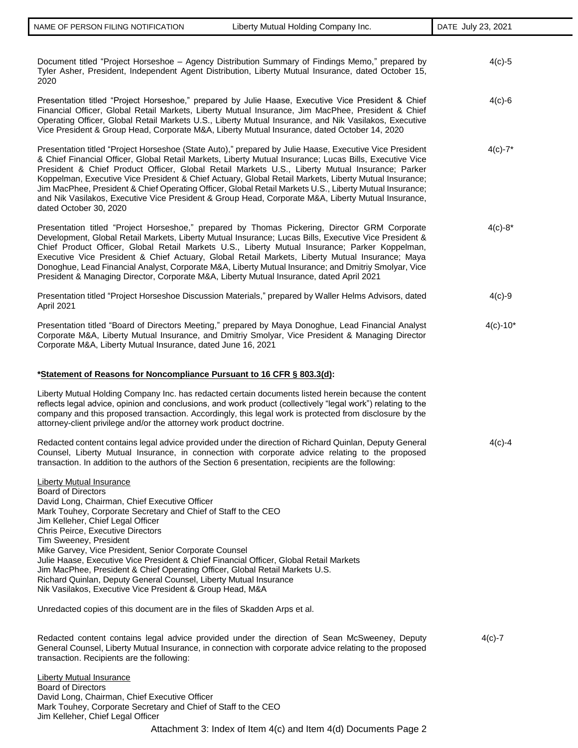| Document titled "Project Horseshoe - Agency Distribution Summary of Findings Memo," prepared by<br>Tyler Asher, President, Independent Agent Distribution, Liberty Mutual Insurance, dated October 15,<br>2020                                                                                                                                                                                                                                                                                                                                                                                                                                                                                                                         | $4(c)-5$      |
|----------------------------------------------------------------------------------------------------------------------------------------------------------------------------------------------------------------------------------------------------------------------------------------------------------------------------------------------------------------------------------------------------------------------------------------------------------------------------------------------------------------------------------------------------------------------------------------------------------------------------------------------------------------------------------------------------------------------------------------|---------------|
| Presentation titled "Project Horseshoe," prepared by Julie Haase, Executive Vice President & Chief<br>Financial Officer, Global Retail Markets, Liberty Mutual Insurance, Jim MacPhee, President & Chief<br>Operating Officer, Global Retail Markets U.S., Liberty Mutual Insurance, and Nik Vasilakos, Executive<br>Vice President & Group Head, Corporate M&A, Liberty Mutual Insurance, dated October 14, 2020                                                                                                                                                                                                                                                                                                                      | $4(c)-6$      |
| Presentation titled "Project Horseshoe (State Auto)," prepared by Julie Haase, Executive Vice President<br>& Chief Financial Officer, Global Retail Markets, Liberty Mutual Insurance; Lucas Bills, Executive Vice<br>President & Chief Product Officer, Global Retail Markets U.S., Liberty Mutual Insurance; Parker<br>Koppelman, Executive Vice President & Chief Actuary, Global Retail Markets, Liberty Mutual Insurance;<br>Jim MacPhee, President & Chief Operating Officer, Global Retail Markets U.S., Liberty Mutual Insurance;<br>and Nik Vasilakos, Executive Vice President & Group Head, Corporate M&A, Liberty Mutual Insurance,<br>dated October 30, 2020                                                              | $4(c) - 7^*$  |
| Presentation titled "Project Horseshoe," prepared by Thomas Pickering, Director GRM Corporate<br>Development, Global Retail Markets, Liberty Mutual Insurance; Lucas Bills, Executive Vice President &<br>Chief Product Officer, Global Retail Markets U.S., Liberty Mutual Insurance; Parker Koppelman,<br>Executive Vice President & Chief Actuary, Global Retail Markets, Liberty Mutual Insurance; Maya<br>Donoghue, Lead Financial Analyst, Corporate M&A, Liberty Mutual Insurance; and Dmitriy Smolyar, Vice<br>President & Managing Director, Corporate M&A, Liberty Mutual Insurance, dated April 2021                                                                                                                        | $4(c) - 8^*$  |
| Presentation titled "Project Horseshoe Discussion Materials," prepared by Waller Helms Advisors, dated<br>April 2021                                                                                                                                                                                                                                                                                                                                                                                                                                                                                                                                                                                                                   | $4(c)-9$      |
| Presentation titled "Board of Directors Meeting," prepared by Maya Donoghue, Lead Financial Analyst<br>Corporate M&A, Liberty Mutual Insurance, and Dmitriy Smolyar, Vice President & Managing Director<br>Corporate M&A, Liberty Mutual Insurance, dated June 16, 2021                                                                                                                                                                                                                                                                                                                                                                                                                                                                | $4(c) - 10^*$ |
| *Statement of Reasons for Noncompliance Pursuant to 16 CFR § 803.3(d):                                                                                                                                                                                                                                                                                                                                                                                                                                                                                                                                                                                                                                                                 |               |
| Liberty Mutual Holding Company Inc. has redacted certain documents listed herein because the content<br>reflects legal advice, opinion and conclusions, and work product (collectively "legal work") relating to the<br>company and this proposed transaction. Accordingly, this legal work is protected from disclosure by the<br>attorney-client privilege and/or the attorney work product doctrine.                                                                                                                                                                                                                                                                                                                                |               |
| Redacted content contains legal advice provided under the direction of Richard Quinlan, Deputy General<br>Counsel, Liberty Mutual Insurance, in connection with corporate advice relating to the proposed<br>transaction. In addition to the authors of the Section 6 presentation, recipients are the following:                                                                                                                                                                                                                                                                                                                                                                                                                      | $4(c)-4$      |
| <b>Liberty Mutual Insurance</b><br><b>Board of Directors</b><br>David Long, Chairman, Chief Executive Officer<br>Mark Touhey, Corporate Secretary and Chief of Staff to the CEO<br>Jim Kelleher, Chief Legal Officer<br>Chris Peirce, Executive Directors<br>Tim Sweeney, President<br>Mike Garvey, Vice President, Senior Corporate Counsel<br>Julie Haase, Executive Vice President & Chief Financial Officer, Global Retail Markets<br>Jim MacPhee, President & Chief Operating Officer, Global Retail Markets U.S.<br>Richard Quinlan, Deputy General Counsel, Liberty Mutual Insurance<br>Nik Vasilakos, Executive Vice President & Group Head, M&A<br>Unredacted copies of this document are in the files of Skadden Arps et al. |               |
| Redacted content contains legal advice provided under the direction of Sean McSweeney, Deputy<br>General Counsel, Liberty Mutual Insurance, in connection with corporate advice relating to the proposed<br>transaction. Recipients are the following:                                                                                                                                                                                                                                                                                                                                                                                                                                                                                 | $4(c)-7$      |
| <b>Liberty Mutual Insurance</b><br><b>Board of Directors</b>                                                                                                                                                                                                                                                                                                                                                                                                                                                                                                                                                                                                                                                                           |               |

Attachment 3: Index of Item 4(c) and Item 4(d) Documents Page 2 Board of Directors David Long, Chairman, Chief Executive Officer Mark Touhey, Corporate Secretary and Chief of Staff to the CEO Jim Kelleher, Chief Legal Officer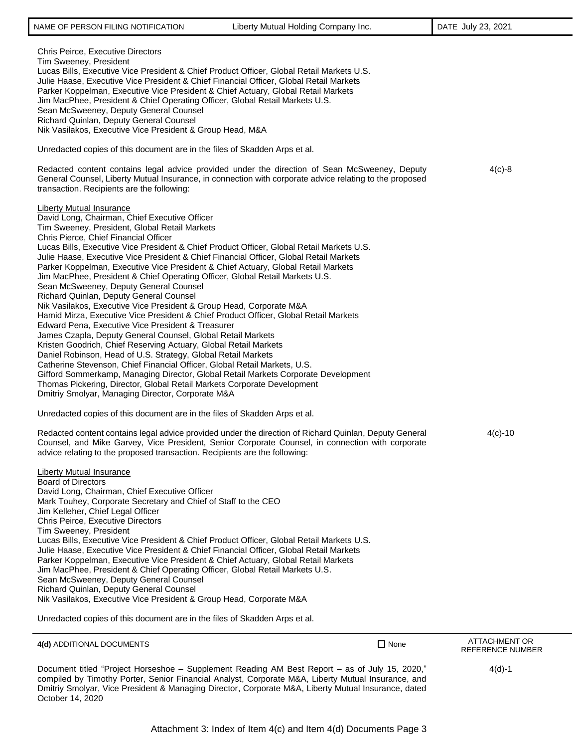| <b>Chris Peirce, Executive Directors</b><br>Tim Sweeney, President<br>Lucas Bills, Executive Vice President & Chief Product Officer, Global Retail Markets U.S.<br>Julie Haase, Executive Vice President & Chief Financial Officer, Global Retail Markets<br>Parker Koppelman, Executive Vice President & Chief Actuary, Global Retail Markets<br>Jim MacPhee, President & Chief Operating Officer, Global Retail Markets U.S.<br>Sean McSweeney, Deputy General Counsel<br>Richard Quinlan, Deputy General Counsel<br>Nik Vasilakos, Executive Vice President & Group Head, M&A                                                                                                                                                                                                                                                                                                                                                                                                                                                                                                                                                                                                                                                                                                                                                                       |             |                                          |
|--------------------------------------------------------------------------------------------------------------------------------------------------------------------------------------------------------------------------------------------------------------------------------------------------------------------------------------------------------------------------------------------------------------------------------------------------------------------------------------------------------------------------------------------------------------------------------------------------------------------------------------------------------------------------------------------------------------------------------------------------------------------------------------------------------------------------------------------------------------------------------------------------------------------------------------------------------------------------------------------------------------------------------------------------------------------------------------------------------------------------------------------------------------------------------------------------------------------------------------------------------------------------------------------------------------------------------------------------------|-------------|------------------------------------------|
| Unredacted copies of this document are in the files of Skadden Arps et al.                                                                                                                                                                                                                                                                                                                                                                                                                                                                                                                                                                                                                                                                                                                                                                                                                                                                                                                                                                                                                                                                                                                                                                                                                                                                             |             |                                          |
| Redacted content contains legal advice provided under the direction of Sean McSweeney, Deputy<br>General Counsel, Liberty Mutual Insurance, in connection with corporate advice relating to the proposed<br>transaction. Recipients are the following:                                                                                                                                                                                                                                                                                                                                                                                                                                                                                                                                                                                                                                                                                                                                                                                                                                                                                                                                                                                                                                                                                                 |             | $4(c)-8$                                 |
| <b>Liberty Mutual Insurance</b><br>David Long, Chairman, Chief Executive Officer<br>Tim Sweeney, President, Global Retail Markets<br>Chris Pierce, Chief Financial Officer<br>Lucas Bills, Executive Vice President & Chief Product Officer, Global Retail Markets U.S.<br>Julie Haase, Executive Vice President & Chief Financial Officer, Global Retail Markets<br>Parker Koppelman, Executive Vice President & Chief Actuary, Global Retail Markets<br>Jim MacPhee, President & Chief Operating Officer, Global Retail Markets U.S.<br>Sean McSweeney, Deputy General Counsel<br>Richard Quinlan, Deputy General Counsel<br>Nik Vasilakos, Executive Vice President & Group Head, Corporate M&A<br>Hamid Mirza, Executive Vice President & Chief Product Officer, Global Retail Markets<br>Edward Pena, Executive Vice President & Treasurer<br>James Czapla, Deputy General Counsel, Global Retail Markets<br>Kristen Goodrich, Chief Reserving Actuary, Global Retail Markets<br>Daniel Robinson, Head of U.S. Strategy, Global Retail Markets<br>Catherine Stevenson, Chief Financial Officer, Global Retail Markets, U.S.<br>Gifford Sommerkamp, Managing Director, Global Retail Markets Corporate Development<br>Thomas Pickering, Director, Global Retail Markets Corporate Development<br>Dmitriy Smolyar, Managing Director, Corporate M&A |             |                                          |
| Unredacted copies of this document are in the files of Skadden Arps et al.                                                                                                                                                                                                                                                                                                                                                                                                                                                                                                                                                                                                                                                                                                                                                                                                                                                                                                                                                                                                                                                                                                                                                                                                                                                                             |             |                                          |
| Redacted content contains legal advice provided under the direction of Richard Quinlan, Deputy General<br>Counsel, and Mike Garvey, Vice President, Senior Corporate Counsel, in connection with corporate<br>advice relating to the proposed transaction. Recipients are the following:                                                                                                                                                                                                                                                                                                                                                                                                                                                                                                                                                                                                                                                                                                                                                                                                                                                                                                                                                                                                                                                               |             | $4(c) - 10$                              |
| <b>Liberty Mutual Insurance</b><br><b>Board of Directors</b><br>David Long, Chairman, Chief Executive Officer<br>Mark Touhey, Corporate Secretary and Chief of Staff to the CEO<br>Jim Kelleher, Chief Legal Officer<br>Chris Peirce, Executive Directors<br>Tim Sweeney, President<br>Lucas Bills, Executive Vice President & Chief Product Officer, Global Retail Markets U.S.<br>Julie Haase, Executive Vice President & Chief Financial Officer, Global Retail Markets<br>Parker Koppelman, Executive Vice President & Chief Actuary, Global Retail Markets<br>Jim MacPhee, President & Chief Operating Officer, Global Retail Markets U.S.<br>Sean McSweeney, Deputy General Counsel<br>Richard Quinlan, Deputy General Counsel<br>Nik Vasilakos, Executive Vice President & Group Head, Corporate M&A<br>Unredacted copies of this document are in the files of Skadden Arps et al.                                                                                                                                                                                                                                                                                                                                                                                                                                                              |             |                                          |
| 4(d) ADDITIONAL DOCUMENTS                                                                                                                                                                                                                                                                                                                                                                                                                                                                                                                                                                                                                                                                                                                                                                                                                                                                                                                                                                                                                                                                                                                                                                                                                                                                                                                              | $\Box$ None | <b>ATTACHMENT OR</b><br>REFERENCE NUMBER |
| Document titled "Project Horseshoe - Supplement Reading AM Best Report - as of July 15, 2020,"                                                                                                                                                                                                                                                                                                                                                                                                                                                                                                                                                                                                                                                                                                                                                                                                                                                                                                                                                                                                                                                                                                                                                                                                                                                         |             | $4(d)-1$                                 |

compiled by Timothy Porter, Senior Financial Analyst, Corporate M&A, Liberty Mutual Insurance, and Dmitriy Smolyar, Vice President & Managing Director, Corporate M&A, Liberty Mutual Insurance, dated October 14, 2020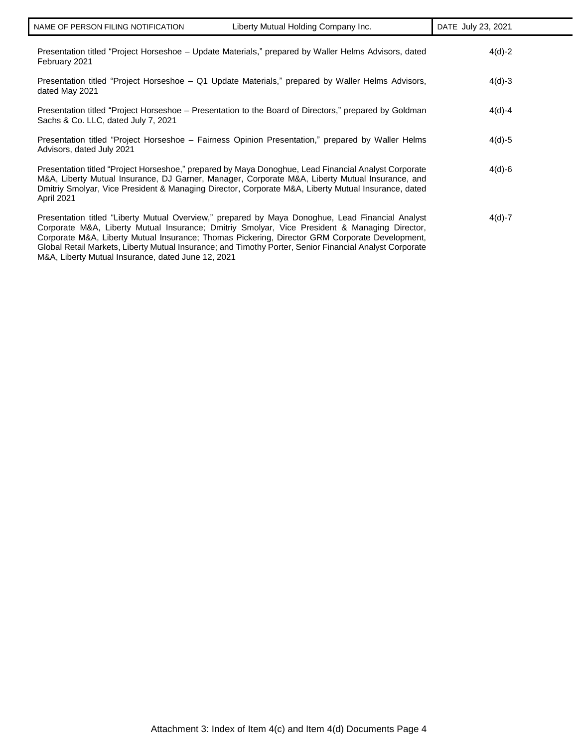| Presentation titled "Project Horseshoe – Update Materials," prepared by Waller Helms Advisors, dated<br>February 2021                                                                                                                                                                                                        | $4(d)-2$   |
|------------------------------------------------------------------------------------------------------------------------------------------------------------------------------------------------------------------------------------------------------------------------------------------------------------------------------|------------|
| Presentation titled "Project Horseshoe - Q1 Update Materials," prepared by Waller Helms Advisors,<br>dated May 2021                                                                                                                                                                                                          | $4(d)-3$   |
| Presentation titled "Project Horseshoe – Presentation to the Board of Directors," prepared by Goldman<br>Sachs & Co. LLC, dated July 7, 2021                                                                                                                                                                                 | $4(d)-4$   |
| Presentation titled "Project Horseshoe - Fairness Opinion Presentation," prepared by Waller Helms<br>Advisors, dated July 2021                                                                                                                                                                                               | $4(d) - 5$ |
| Presentation titled "Project Horseshoe," prepared by Maya Donoghue, Lead Financial Analyst Corporate<br>M&A, Liberty Mutual Insurance, DJ Garner, Manager, Corporate M&A, Liberty Mutual Insurance, and<br>Dmitriy Smolyar, Vice President & Managing Director, Corporate M&A, Liberty Mutual Insurance, dated<br>April 2021 | $4(d)-6$   |
| Presentation titled "Liberty Mutual Overview," prepared by Maya Donoghue, Lead Financial Analyst<br>Corporate M&A, Liberty Mutual Insurance: Dmitriy Smolyar, Vice President & Managing Director,<br>Composed MOA Library Mutual Incurrence Thomas Distance Disaster CDM Composed Douglampeart                               | $4(d) - 7$ |

Corporate M&A, Liberty Mutual Insurance; Thomas Pickering, Director GRM Corporate Development, Global Retail Markets, Liberty Mutual Insurance; and Timothy Porter, Senior Financial Analyst Corporate M&A, Liberty Mutual Insurance, dated June 12, 2021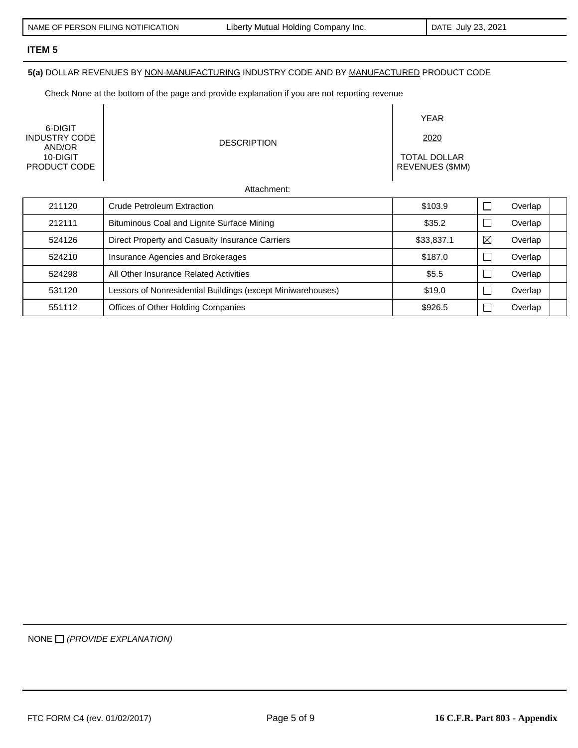$\overline{\phantom{a}}$ 

# **ITEM 5**

## **5(a)** DOLLAR REVENUES BY NON-MANUFACTURING INDUSTRY CODE AND BY MANUFACTURED PRODUCT CODE

Check None at the bottom of the page and provide explanation if you are not reporting revenue

| 6-DIGIT<br><b>INDUSTRY CODE</b><br>AND/OR<br>10-DIGIT<br>PRODUCT CODE | <b>DESCRIPTION</b>                              | <b>YEAR</b><br>2020<br><b>TOTAL DOLLAR</b><br><b>REVENUES (\$MM)</b> |   |         |
|-----------------------------------------------------------------------|-------------------------------------------------|----------------------------------------------------------------------|---|---------|
|                                                                       | Attachment:                                     |                                                                      |   |         |
| 211120                                                                | <b>Crude Petroleum Extraction</b>               | \$103.9                                                              |   | Overlap |
| 212111                                                                | Bituminous Coal and Lignite Surface Mining      | \$35.2                                                               |   | Overlap |
| 524126                                                                | Direct Property and Casualty Insurance Carriers | \$33,837.1                                                           | ⊠ | Overlap |
| 524210                                                                | Insurance Agencies and Brokerages               | \$187.0                                                              |   | Overlap |
|                                                                       |                                                 |                                                                      |   |         |

524298 All Other Insurance Related Activities \$5.5 Overlap 531120 | Lessors of Nonresidential Buildings (except Miniwarehouses) | \$19.0 | D Overlap 551112 | Offices of Other Holding Companies | \$926.5 | Overlap

NONE *(PROVIDE EXPLANATION)*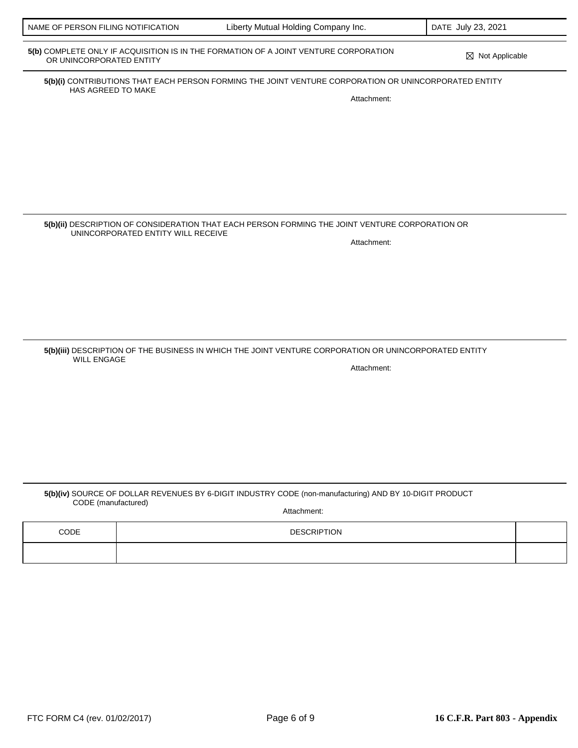# **5(b)** COMPLETE ONLY IF ACQUISITION IS IN THE FORMATION OF A JOINT VENTURE CORPORATION ⊠ Not Applicable<br>OR UNINCORPORATED ENTITY

**5(b)(i)** CONTRIBUTIONS THAT EACH PERSON FORMING THE JOINT VENTURE CORPORATION OR UNINCORPORATED ENTITY HAS AGREED TO MAKE

Attachment:

**5(b)(ii)** DESCRIPTION OF CONSIDERATION THAT EACH PERSON FORMING THE JOINT VENTURE CORPORATION OR UNINCORPORATED ENTITY WILL RECEIVE Attachment:

**5(b)(iii)** DESCRIPTION OF THE BUSINESS IN WHICH THE JOINT VENTURE CORPORATION OR UNINCORPORATED ENTITY WILL ENGAGE Attachment:

**5(b)(iv)** SOURCE OF DOLLAR REVENUES BY 6-DIGIT INDUSTRY CODE (non-manufacturing) AND BY 10-DIGIT PRODUCT CODE (manufactured)

Attachment:

| CODE | <b>DESCRIPTION</b> |  |
|------|--------------------|--|
|      |                    |  |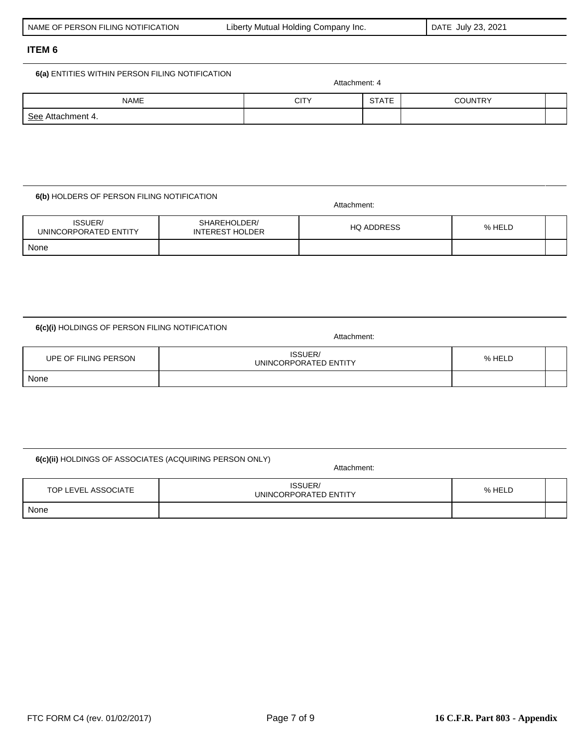NAME CITY STATE COUNTRY

#### **ITEM 6**

See Attachment 4.

#### **6(a)** ENTITIES WITHIN PERSON FILING NOTIFICATION

#### **6(b)** HOLDERS OF PERSON FILING NOTIFICATION

| ISSUER/<br>UNINCORPORATED ENTITY | SHAREHOLDER/<br><b>INTEREST HOLDER</b> | <b>HQ ADDRESS</b> | % HELD |  |
|----------------------------------|----------------------------------------|-------------------|--------|--|
| None                             |                                        |                   |        |  |

#### **6(c)(i)** HOLDINGS OF PERSON FILING NOTIFICATION

UPE OF FILING PERSON ISSUER/ UNINCORPORATED ENTITY **1990 - AND 1990 MELO** None

# **6(c)(ii)** HOLDINGS OF ASSOCIATES (ACQUIRING PERSON ONLY)

Attachment:

Attachment:

| TOP LEVEL ASSOCIATE | ISSUER/<br>UNINCORPORATED ENTITY | % HELD |  |
|---------------------|----------------------------------|--------|--|
| None                |                                  |        |  |

Attachment:

Attachment: 4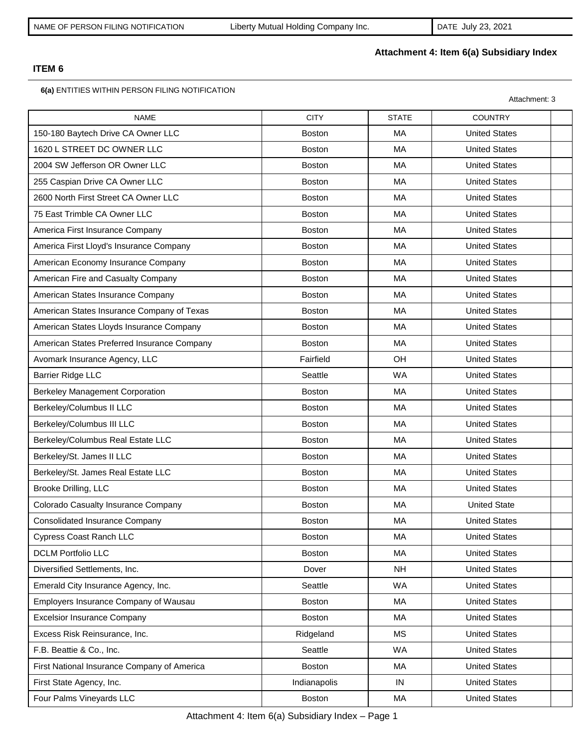# **Attachment 4: Item 6(a) Subsidiary Index**

# **ITEM 6**

**6(a)** ENTITIES WITHIN PERSON FILING NOTIFICATION

|                                             |               |              | Attachment: 3        |  |
|---------------------------------------------|---------------|--------------|----------------------|--|
| <b>NAME</b>                                 | <b>CITY</b>   | <b>STATE</b> | <b>COUNTRY</b>       |  |
| 150-180 Baytech Drive CA Owner LLC          | <b>Boston</b> | MA           | <b>United States</b> |  |
| 1620 L STREET DC OWNER LLC                  | <b>Boston</b> | MA           | <b>United States</b> |  |
| 2004 SW Jefferson OR Owner LLC              | <b>Boston</b> | MA           | <b>United States</b> |  |
| 255 Caspian Drive CA Owner LLC              | <b>Boston</b> | <b>MA</b>    | <b>United States</b> |  |
| 2600 North First Street CA Owner LLC        | <b>Boston</b> | MA           | <b>United States</b> |  |
| 75 East Trimble CA Owner LLC                | <b>Boston</b> | MA           | <b>United States</b> |  |
| America First Insurance Company             | <b>Boston</b> | MA           | <b>United States</b> |  |
| America First Lloyd's Insurance Company     | <b>Boston</b> | MA           | <b>United States</b> |  |
| American Economy Insurance Company          | Boston        | MA           | <b>United States</b> |  |
| American Fire and Casualty Company          | <b>Boston</b> | <b>MA</b>    | <b>United States</b> |  |
| American States Insurance Company           | <b>Boston</b> | <b>MA</b>    | <b>United States</b> |  |
| American States Insurance Company of Texas  | Boston        | MA           | <b>United States</b> |  |
| American States Lloyds Insurance Company    | <b>Boston</b> | MA           | <b>United States</b> |  |
| American States Preferred Insurance Company | Boston        | MA           | <b>United States</b> |  |
| Avomark Insurance Agency, LLC               | Fairfield     | OH           | <b>United States</b> |  |
| <b>Barrier Ridge LLC</b>                    | Seattle       | <b>WA</b>    | <b>United States</b> |  |
| <b>Berkeley Management Corporation</b>      | <b>Boston</b> | MA           | <b>United States</b> |  |
| Berkeley/Columbus II LLC                    | <b>Boston</b> | MA           | <b>United States</b> |  |
| Berkeley/Columbus III LLC                   | Boston        | MA           | <b>United States</b> |  |
| Berkeley/Columbus Real Estate LLC           | <b>Boston</b> | MA           | <b>United States</b> |  |
| Berkeley/St. James II LLC                   | <b>Boston</b> | MA           | <b>United States</b> |  |
| Berkeley/St. James Real Estate LLC          | <b>Boston</b> | MA           | <b>United States</b> |  |
| Brooke Drilling, LLC                        | <b>Boston</b> | MA           | <b>United States</b> |  |
| Colorado Casualty Insurance Company         | <b>Boston</b> | <b>MA</b>    | <b>United State</b>  |  |
| <b>Consolidated Insurance Company</b>       | Boston        | МA           | <b>United States</b> |  |
| <b>Cypress Coast Ranch LLC</b>              | <b>Boston</b> | MA           | <b>United States</b> |  |
| <b>DCLM Portfolio LLC</b>                   | Boston        | MA           | <b>United States</b> |  |
| Diversified Settlements, Inc.               | Dover         | <b>NH</b>    | <b>United States</b> |  |
| Emerald City Insurance Agency, Inc.         | Seattle       | <b>WA</b>    | <b>United States</b> |  |
| Employers Insurance Company of Wausau       | <b>Boston</b> | МA           | <b>United States</b> |  |
| <b>Excelsior Insurance Company</b>          | <b>Boston</b> | МA           | <b>United States</b> |  |
| Excess Risk Reinsurance, Inc.               | Ridgeland     | <b>MS</b>    | <b>United States</b> |  |
| F.B. Beattie & Co., Inc.                    | Seattle       | WA           | <b>United States</b> |  |
| First National Insurance Company of America | Boston        | MA           | <b>United States</b> |  |
| First State Agency, Inc.                    | Indianapolis  | IN           | <b>United States</b> |  |
| Four Palms Vineyards LLC                    | Boston        | MA           | <b>United States</b> |  |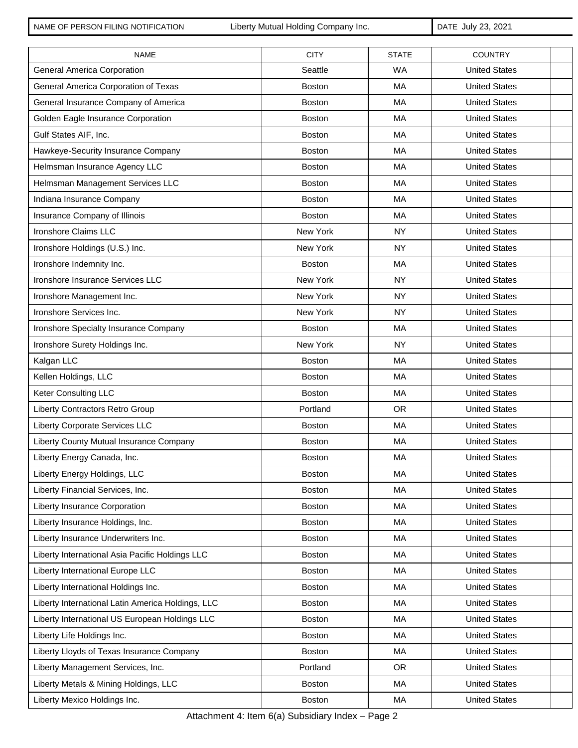NAME OF PERSON FILING NOTIFICATION Liberty Mutual Holding Company Inc. DATE July 23, 2021

| <b>NAME</b>                                       | <b>CITY</b>   | <b>STATE</b> | <b>COUNTRY</b>       |
|---------------------------------------------------|---------------|--------------|----------------------|
| General America Corporation                       | Seattle       | <b>WA</b>    | <b>United States</b> |
| General America Corporation of Texas              | <b>Boston</b> | <b>MA</b>    | <b>United States</b> |
| General Insurance Company of America              | <b>Boston</b> | <b>MA</b>    | <b>United States</b> |
| Golden Eagle Insurance Corporation                | <b>Boston</b> | MA           | <b>United States</b> |
| Gulf States AIF, Inc.                             | Boston        | MA           | <b>United States</b> |
| Hawkeye-Security Insurance Company                | Boston        | <b>MA</b>    | <b>United States</b> |
| Helmsman Insurance Agency LLC                     | <b>Boston</b> | <b>MA</b>    | <b>United States</b> |
| Helmsman Management Services LLC                  | Boston        | MA           | <b>United States</b> |
| Indiana Insurance Company                         | <b>Boston</b> | <b>MA</b>    | <b>United States</b> |
| Insurance Company of Illinois                     | Boston        | <b>MA</b>    | <b>United States</b> |
| Ironshore Claims LLC                              | New York      | <b>NY</b>    | <b>United States</b> |
| Ironshore Holdings (U.S.) Inc.                    | New York      | <b>NY</b>    | <b>United States</b> |
| Ironshore Indemnity Inc.                          | Boston        | MA           | <b>United States</b> |
| Ironshore Insurance Services LLC                  | New York      | <b>NY</b>    | <b>United States</b> |
| Ironshore Management Inc.                         | New York      | <b>NY</b>    | <b>United States</b> |
| Ironshore Services Inc.                           | New York      | <b>NY</b>    | <b>United States</b> |
| Ironshore Specialty Insurance Company             | <b>Boston</b> | <b>MA</b>    | <b>United States</b> |
| Ironshore Surety Holdings Inc.                    | New York      | <b>NY</b>    | <b>United States</b> |
| Kalgan LLC                                        | <b>Boston</b> | MA           | <b>United States</b> |
| Kellen Holdings, LLC                              | Boston        | MA           | <b>United States</b> |
| Keter Consulting LLC                              | <b>Boston</b> | MA           | <b>United States</b> |
| Liberty Contractors Retro Group                   | Portland      | <b>OR</b>    | <b>United States</b> |
| Liberty Corporate Services LLC                    | <b>Boston</b> | MA           | <b>United States</b> |
| Liberty County Mutual Insurance Company           | <b>Boston</b> | MA           | <b>United States</b> |
| Liberty Energy Canada, Inc.                       | <b>Boston</b> | MA           | <b>United States</b> |
| Liberty Energy Holdings, LLC                      | <b>Boston</b> | МA           | <b>United States</b> |
| Liberty Financial Services, Inc.                  | <b>Boston</b> | МA           | <b>United States</b> |
| Liberty Insurance Corporation                     | <b>Boston</b> | МA           | <b>United States</b> |
| Liberty Insurance Holdings, Inc.                  | <b>Boston</b> | МA           | <b>United States</b> |
| Liberty Insurance Underwriters Inc.               | Boston        | МA           | <b>United States</b> |
| Liberty International Asia Pacific Holdings LLC   | Boston        | MA           | <b>United States</b> |
| Liberty International Europe LLC                  | <b>Boston</b> | МA           | <b>United States</b> |
| Liberty International Holdings Inc.               | <b>Boston</b> | МA           | <b>United States</b> |
| Liberty International Latin America Holdings, LLC | <b>Boston</b> | МA           | <b>United States</b> |
| Liberty International US European Holdings LLC    | Boston        | МA           | <b>United States</b> |
| Liberty Life Holdings Inc.                        | <b>Boston</b> | МA           | <b>United States</b> |
| Liberty Lloyds of Texas Insurance Company         | Boston        | МA           | <b>United States</b> |
| Liberty Management Services, Inc.                 | Portland      | <b>OR</b>    | <b>United States</b> |
| Liberty Metals & Mining Holdings, LLC             | <b>Boston</b> | МA           | <b>United States</b> |
| Liberty Mexico Holdings Inc.                      | Boston        | МA           | <b>United States</b> |

Attachment 4: Item 6(a) Subsidiary Index – Page 2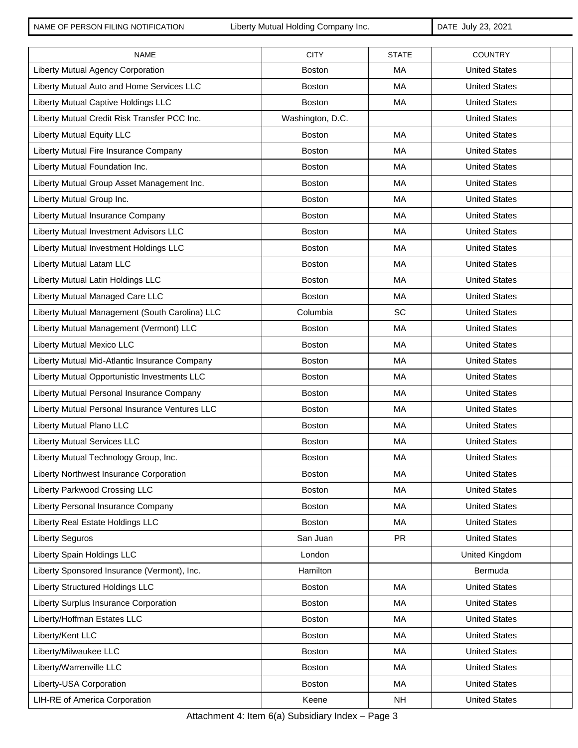NAME OF PERSON FILING NOTIFICATION Liberty Mutual Holding Company Inc. DATE July 23, 2021

| <b>NAME</b>                                    | <b>CITY</b>      | <b>STATE</b> | <b>COUNTRY</b>       |  |
|------------------------------------------------|------------------|--------------|----------------------|--|
| Liberty Mutual Agency Corporation              | <b>Boston</b>    | <b>MA</b>    | <b>United States</b> |  |
| Liberty Mutual Auto and Home Services LLC      | <b>Boston</b>    | <b>MA</b>    | <b>United States</b> |  |
| Liberty Mutual Captive Holdings LLC            | <b>Boston</b>    | MA           | <b>United States</b> |  |
| Liberty Mutual Credit Risk Transfer PCC Inc.   | Washington, D.C. |              | <b>United States</b> |  |
| <b>Liberty Mutual Equity LLC</b>               | <b>Boston</b>    | MA           | <b>United States</b> |  |
| Liberty Mutual Fire Insurance Company          | Boston           | <b>MA</b>    | <b>United States</b> |  |
| Liberty Mutual Foundation Inc.                 | <b>Boston</b>    | <b>MA</b>    | <b>United States</b> |  |
| Liberty Mutual Group Asset Management Inc.     | Boston           | MA           | <b>United States</b> |  |
| Liberty Mutual Group Inc.                      | <b>Boston</b>    | <b>MA</b>    | <b>United States</b> |  |
| Liberty Mutual Insurance Company               | Boston           | MA           | <b>United States</b> |  |
| Liberty Mutual Investment Advisors LLC         | <b>Boston</b>    | <b>MA</b>    | <b>United States</b> |  |
| Liberty Mutual Investment Holdings LLC         | Boston           | MA           | <b>United States</b> |  |
| Liberty Mutual Latam LLC                       | <b>Boston</b>    | <b>MA</b>    | <b>United States</b> |  |
| Liberty Mutual Latin Holdings LLC              | <b>Boston</b>    | MA           | <b>United States</b> |  |
| Liberty Mutual Managed Care LLC                | <b>Boston</b>    | MA           | <b>United States</b> |  |
| Liberty Mutual Management (South Carolina) LLC | Columbia         | SC           | <b>United States</b> |  |
| Liberty Mutual Management (Vermont) LLC        | <b>Boston</b>    | MA           | <b>United States</b> |  |
| Liberty Mutual Mexico LLC                      | <b>Boston</b>    | MA           | <b>United States</b> |  |
| Liberty Mutual Mid-Atlantic Insurance Company  | <b>Boston</b>    | MA           | <b>United States</b> |  |
| Liberty Mutual Opportunistic Investments LLC   | <b>Boston</b>    | <b>MA</b>    | <b>United States</b> |  |
| Liberty Mutual Personal Insurance Company      | <b>Boston</b>    | <b>MA</b>    | <b>United States</b> |  |
| Liberty Mutual Personal Insurance Ventures LLC | <b>Boston</b>    | <b>MA</b>    | <b>United States</b> |  |
| Liberty Mutual Plano LLC                       | <b>Boston</b>    | <b>MA</b>    | <b>United States</b> |  |
| <b>Liberty Mutual Services LLC</b>             | <b>Boston</b>    | MA           | <b>United States</b> |  |
| Liberty Mutual Technology Group, Inc.          | <b>Boston</b>    | MA           | <b>United States</b> |  |
| Liberty Northwest Insurance Corporation        | <b>Boston</b>    | MA           | <b>United States</b> |  |
| <b>Liberty Parkwood Crossing LLC</b>           | <b>Boston</b>    | МA           | <b>United States</b> |  |
| Liberty Personal Insurance Company             | Boston           | MA           | <b>United States</b> |  |
| Liberty Real Estate Holdings LLC               | <b>Boston</b>    | МA           | <b>United States</b> |  |
| <b>Liberty Seguros</b>                         | San Juan         | <b>PR</b>    | <b>United States</b> |  |
| Liberty Spain Holdings LLC                     | London           |              | United Kingdom       |  |
| Liberty Sponsored Insurance (Vermont), Inc.    | Hamilton         |              | Bermuda              |  |
| <b>Liberty Structured Holdings LLC</b>         | <b>Boston</b>    | МA           | <b>United States</b> |  |
| Liberty Surplus Insurance Corporation          | <b>Boston</b>    | МA           | <b>United States</b> |  |
| Liberty/Hoffman Estates LLC                    | Boston           | МA           | <b>United States</b> |  |
| Liberty/Kent LLC                               | <b>Boston</b>    | МA           | <b>United States</b> |  |
| Liberty/Milwaukee LLC                          | Boston           | МA           | <b>United States</b> |  |
| Liberty/Warrenville LLC                        | Boston           | MA           | <b>United States</b> |  |
| Liberty-USA Corporation                        | Boston           | МA           | <b>United States</b> |  |
| LIH-RE of America Corporation                  | Keene            | <b>NH</b>    | <b>United States</b> |  |

Attachment 4: Item 6(a) Subsidiary Index – Page 3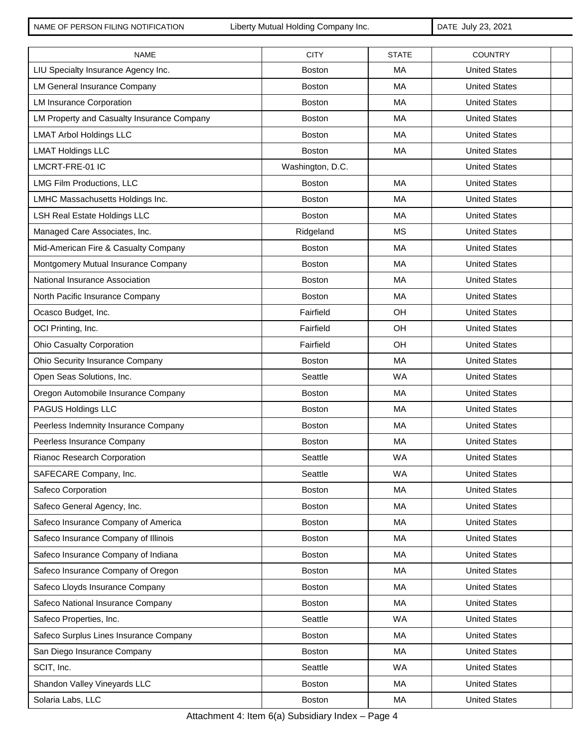NAME OF PERSON FILING NOTIFICATION Liberty Mutual Holding Company Inc. DATE July 23, 2021

| <b>NAME</b>                                | <b>CITY</b>      | <b>STATE</b> | <b>COUNTRY</b>       |
|--------------------------------------------|------------------|--------------|----------------------|
| LIU Specialty Insurance Agency Inc.        | <b>Boston</b>    | <b>MA</b>    | <b>United States</b> |
| <b>LM General Insurance Company</b>        | <b>Boston</b>    | <b>MA</b>    | <b>United States</b> |
| <b>LM Insurance Corporation</b>            | <b>Boston</b>    | MA           | <b>United States</b> |
| LM Property and Casualty Insurance Company | <b>Boston</b>    | MA           | <b>United States</b> |
| <b>LMAT Arbol Holdings LLC</b>             | <b>Boston</b>    | MA           | <b>United States</b> |
| <b>LMAT Holdings LLC</b>                   | <b>Boston</b>    | MA           | <b>United States</b> |
| LMCRT-FRE-01 IC                            | Washington, D.C. |              | <b>United States</b> |
| <b>LMG Film Productions, LLC</b>           | <b>Boston</b>    | MA           | <b>United States</b> |
| LMHC Massachusetts Holdings Inc.           | <b>Boston</b>    | MA           | <b>United States</b> |
| <b>LSH Real Estate Holdings LLC</b>        | <b>Boston</b>    | MA           | <b>United States</b> |
| Managed Care Associates, Inc.              | Ridgeland        | <b>MS</b>    | <b>United States</b> |
| Mid-American Fire & Casualty Company       | <b>Boston</b>    | MA           | <b>United States</b> |
| Montgomery Mutual Insurance Company        | <b>Boston</b>    | MA           | <b>United States</b> |
| National Insurance Association             | <b>Boston</b>    | <b>MA</b>    | <b>United States</b> |
| North Pacific Insurance Company            | Boston           | MA           | <b>United States</b> |
| Ocasco Budget, Inc.                        | Fairfield        | OH           | <b>United States</b> |
| OCI Printing, Inc.                         | Fairfield        | OH           | <b>United States</b> |
| Ohio Casualty Corporation                  | Fairfield        | OH           | <b>United States</b> |
| Ohio Security Insurance Company            | <b>Boston</b>    | MA           | <b>United States</b> |
| Open Seas Solutions, Inc.                  | Seattle          | <b>WA</b>    | <b>United States</b> |
| Oregon Automobile Insurance Company        | <b>Boston</b>    | <b>MA</b>    | <b>United States</b> |
| PAGUS Holdings LLC                         | <b>Boston</b>    | <b>MA</b>    | <b>United States</b> |
| Peerless Indemnity Insurance Company       | <b>Boston</b>    | <b>MA</b>    | <b>United States</b> |
| Peerless Insurance Company                 | Boston           | <b>MA</b>    | <b>United States</b> |
| Rianoc Research Corporation                | Seattle          | <b>WA</b>    | <b>United States</b> |
| SAFECARE Company, Inc.                     | Seattle          | <b>WA</b>    | <b>United States</b> |
| Safeco Corporation                         | <b>Boston</b>    | МA           | <b>United States</b> |
| Safeco General Agency, Inc.                | <b>Boston</b>    | МA           | <b>United States</b> |
| Safeco Insurance Company of America        | <b>Boston</b>    | MA           | <b>United States</b> |
| Safeco Insurance Company of Illinois       | <b>Boston</b>    | MA           | <b>United States</b> |
| Safeco Insurance Company of Indiana        | <b>Boston</b>    | МA           | <b>United States</b> |
| Safeco Insurance Company of Oregon         | <b>Boston</b>    | МA           | <b>United States</b> |
| Safeco Lloyds Insurance Company            | <b>Boston</b>    | МA           | <b>United States</b> |
| Safeco National Insurance Company          | Boston           | МA           | <b>United States</b> |
| Safeco Properties, Inc.                    | Seattle          | WA           | <b>United States</b> |
| Safeco Surplus Lines Insurance Company     | <b>Boston</b>    | МA           | <b>United States</b> |
| San Diego Insurance Company                | <b>Boston</b>    | МA           | <b>United States</b> |
| SCIT, Inc.                                 | Seattle          | <b>WA</b>    | <b>United States</b> |
| Shandon Valley Vineyards LLC               | <b>Boston</b>    | МA           | <b>United States</b> |
| Solaria Labs, LLC                          | Boston           | МA           | <b>United States</b> |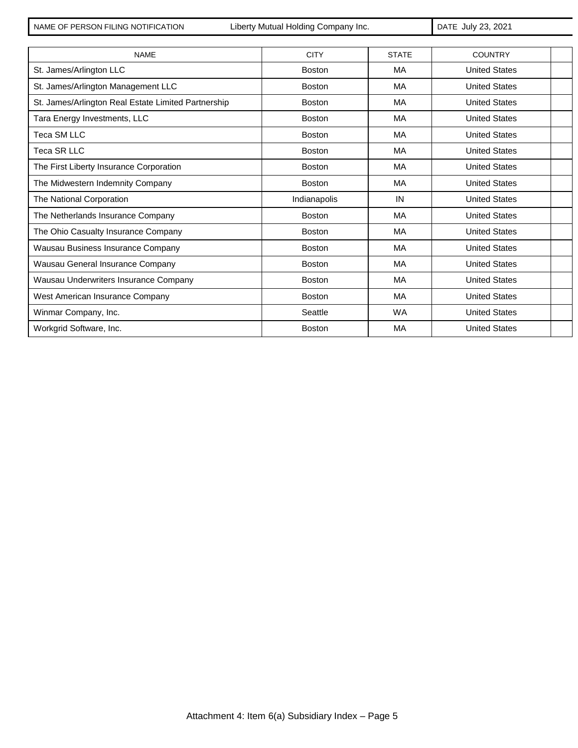NAME OF PERSON FILING NOTIFICATION Liberty Mutual Holding Company Inc. <br>
DATE July 23, 2021

| <b>NAME</b>                                         | <b>CITY</b>   | <b>STATE</b> | <b>COUNTRY</b>       |  |
|-----------------------------------------------------|---------------|--------------|----------------------|--|
| St. James/Arlington LLC                             | <b>Boston</b> | MA           | <b>United States</b> |  |
| St. James/Arlington Management LLC                  | <b>Boston</b> | МA           | <b>United States</b> |  |
| St. James/Arlington Real Estate Limited Partnership | <b>Boston</b> | MA           | <b>United States</b> |  |
| Tara Energy Investments, LLC                        | <b>Boston</b> | МA           | <b>United States</b> |  |
| <b>Teca SM LLC</b>                                  | <b>Boston</b> | MA           | <b>United States</b> |  |
| <b>Teca SR LLC</b>                                  | <b>Boston</b> | MA           | <b>United States</b> |  |
| The First Liberty Insurance Corporation             | <b>Boston</b> | MA           | <b>United States</b> |  |
| The Midwestern Indemnity Company                    | <b>Boston</b> | MA           | <b>United States</b> |  |
| The National Corporation                            | Indianapolis  | IN           | <b>United States</b> |  |
| The Netherlands Insurance Company                   | <b>Boston</b> | <b>MA</b>    | <b>United States</b> |  |
| The Ohio Casualty Insurance Company                 | <b>Boston</b> | <b>MA</b>    | <b>United States</b> |  |
| Wausau Business Insurance Company                   | <b>Boston</b> | MA           | <b>United States</b> |  |
| Wausau General Insurance Company                    | <b>Boston</b> | MA           | <b>United States</b> |  |
| Wausau Underwriters Insurance Company               | <b>Boston</b> | MA           | <b>United States</b> |  |
| West American Insurance Company                     | <b>Boston</b> | MA           | <b>United States</b> |  |
| Winmar Company, Inc.                                | Seattle       | <b>WA</b>    | <b>United States</b> |  |
| Workgrid Software, Inc.                             | <b>Boston</b> | MA           | <b>United States</b> |  |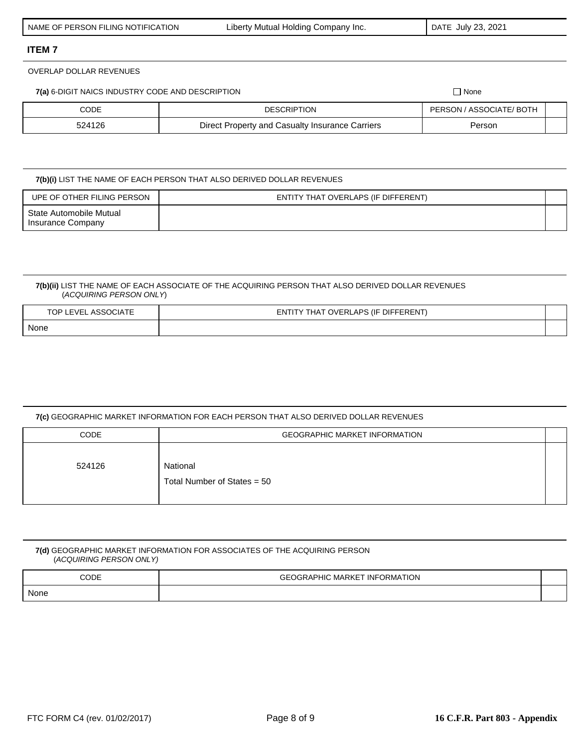OVERLAP DOLLAR REVENUES

**7(a)** 6-DIGIT NAICS INDUSTRY CODE AND DESCRIPTION  $\Box$  None

| CODE   | <b>DESCRIPTION</b>                              | PERSON / ASSOCIATE/ BOTH |  |
|--------|-------------------------------------------------|--------------------------|--|
| 524126 | Direct Property and Casualty Insurance Carriers | Persor                   |  |

**7(b)(i)** LIST THE NAME OF EACH PERSON THAT ALSO DERIVED DOLLAR REVENUES

| UPE OF OTHER FILING PERSON                   | ENTITY THAT OVERLAPS (IF DIFFERENT) |  |
|----------------------------------------------|-------------------------------------|--|
| State Automobile Mutual<br>Insurance Company |                                     |  |

#### **7(b)(ii)** LIST THE NAME OF EACH ASSOCIATE OF THE ACQUIRING PERSON THAT ALSO DERIVED DOLLAR REVENUES (*ACQUIRING PERSON ONLY*)

| ASSOC'<br>FVE'<br>TOP L<br>UIAIL | THAT OVERLAPS (IF DIFFERENT)<br>FNTI |  |
|----------------------------------|--------------------------------------|--|
| None<br>___                      |                                      |  |

#### **7(c)** GEOGRAPHIC MARKET INFORMATION FOR EACH PERSON THAT ALSO DERIVED DOLLAR REVENUES

| <b>CODE</b> | <b>GEOGRAPHIC MARKET INFORMATION</b>      |  |
|-------------|-------------------------------------------|--|
| 524126      | National<br>Total Number of States $= 50$ |  |

#### **7(d)** GEOGRAPHIC MARKET INFORMATION FOR ASSOCIATES OF THE ACQUIRING PERSON (*ACQUIRING PERSON ONLY)*

| <b>CODE</b> | <b>GEOGRAPHIC MARKET INFORMATION</b> |  |
|-------------|--------------------------------------|--|
| None        |                                      |  |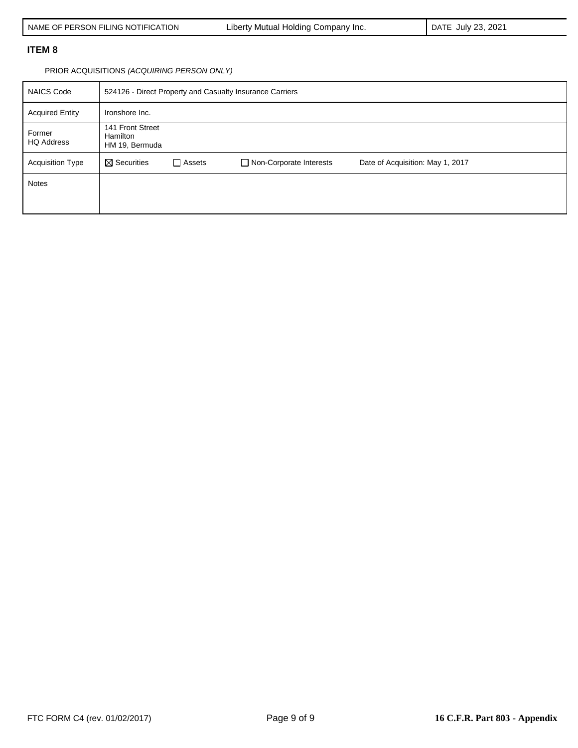PRIOR ACQUISITIONS *(ACQUIRING PERSON ONLY)*

| <b>NAICS Code</b>           | 524126 - Direct Property and Casualty Insurance Carriers |               |                                |                                  |
|-----------------------------|----------------------------------------------------------|---------------|--------------------------------|----------------------------------|
| <b>Acquired Entity</b>      | Ironshore Inc.                                           |               |                                |                                  |
| Former<br><b>HQ Address</b> | 141 Front Street<br><b>Hamilton</b><br>HM 19, Bermuda    |               |                                |                                  |
| <b>Acquisition Type</b>     | $\boxtimes$ Securities                                   | $\Box$ Assets | $\Box$ Non-Corporate Interests | Date of Acquisition: May 1, 2017 |
| <b>Notes</b>                |                                                          |               |                                |                                  |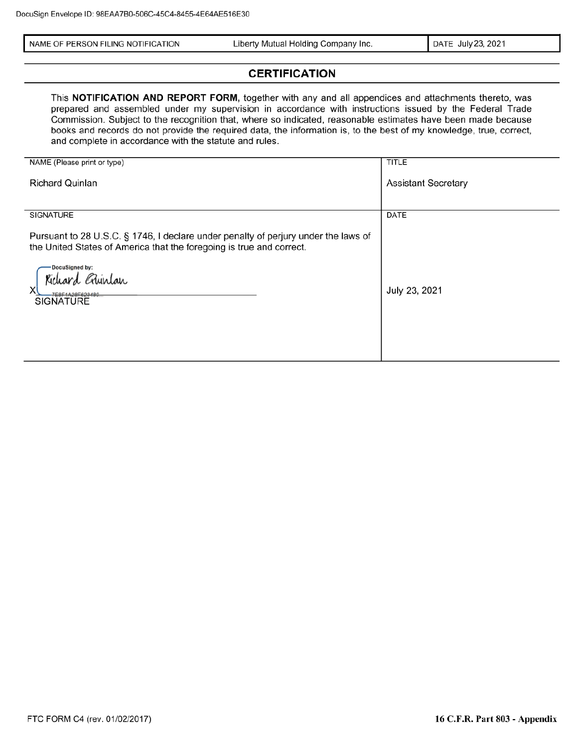| NAME OF PERSON FILING NOTIFICATION | Liberty Mutual Holding Company Inc. | DATE July 23, 2021 |
|------------------------------------|-------------------------------------|--------------------|
|------------------------------------|-------------------------------------|--------------------|

# **CERTIFICATION**

This NOTIFICATION AND REPORT FORM, together with any and all appendices and attachments thereto, was prepared and assembled under my supervision in accordance with instructions issued by the Federal Trade Commission. Subject to the recognition that, where so indicated, reasonable estimates have been made because books and records do not provide the required data, the information is, to the best of my knowledge, true, correct, and complete in accordance with the statute and rules.

| NAME (Please print or type)                                                                                                                                | <b>TITLE</b>               |
|------------------------------------------------------------------------------------------------------------------------------------------------------------|----------------------------|
| <b>Richard Quinlan</b>                                                                                                                                     | <b>Assistant Secretary</b> |
|                                                                                                                                                            |                            |
| <b>SIGNATURE</b>                                                                                                                                           | DATE                       |
| Pursuant to 28 U.S.C. § 1746, I declare under penalty of perjury under the laws of<br>the United States of America that the foregoing is true and correct. |                            |
| DocuSigned by:<br>Richard Ghunlan<br>x<br>ZEOE1A90E893400<br><b>SIGNATURE</b>                                                                              | July 23, 2021              |
|                                                                                                                                                            |                            |
|                                                                                                                                                            |                            |
|                                                                                                                                                            |                            |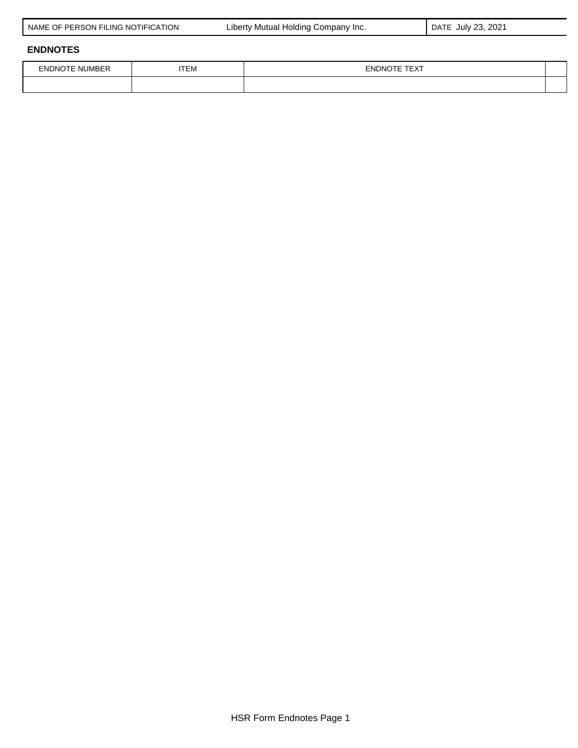|  | NAME OF PERSON FILING NOTIFICATION |
|--|------------------------------------|
|  |                                    |

Liberty Mutual Holding Company Inc. **DATE July 23, 2021** 

# **ENDNOTES**

| FNDNC<br>INL IF<br>∵ "MB∟. | $- - -$<br>TEM | $-\sqrt{2}$<br>)NO<br>- 181<br>◡◠▮ |  |
|----------------------------|----------------|------------------------------------|--|
|                            |                |                                    |  |